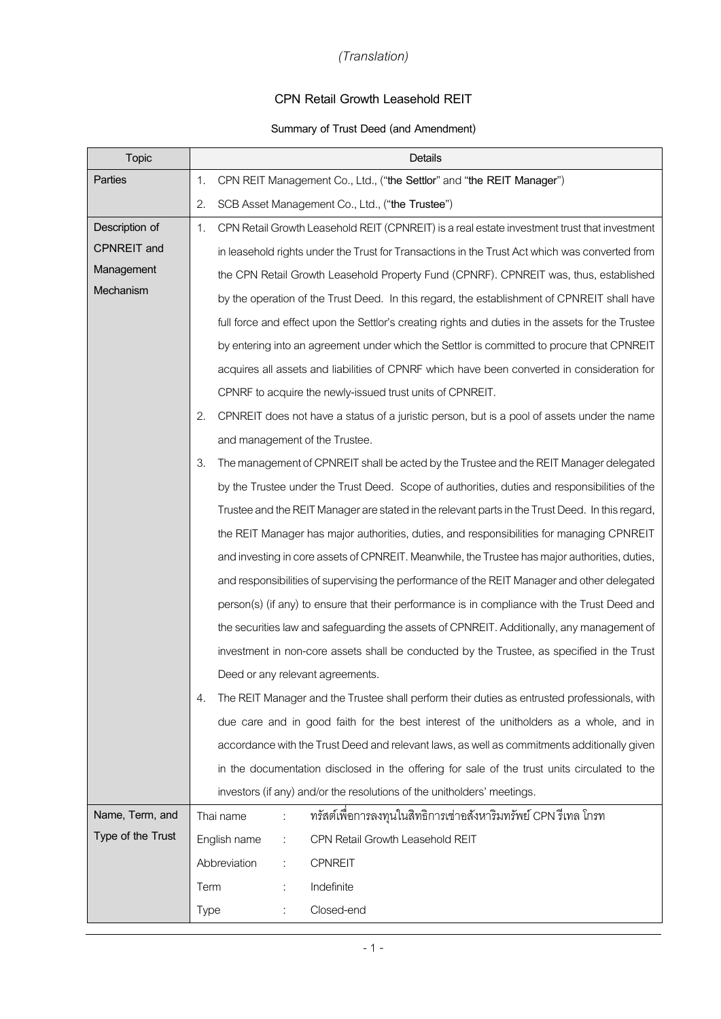## *(Translation)*

## **CPN Retail Growth Leasehold REIT**

## **Summary of Trust Deed (and Amendment)**

| <b>Topic</b>       |             | Details                                                                                           |  |
|--------------------|-------------|---------------------------------------------------------------------------------------------------|--|
| Parties            | 1.          | CPN REIT Management Co., Ltd., ("the Settlor" and "the REIT Manager")                             |  |
|                    | 2.          | SCB Asset Management Co., Ltd., ("the Trustee")                                                   |  |
| Description of     | 1.          | CPN Retail Growth Leasehold REIT (CPNREIT) is a real estate investment trust that investment      |  |
| <b>CPNREIT</b> and |             | in leasehold rights under the Trust for Transactions in the Trust Act which was converted from    |  |
| Management         |             | the CPN Retail Growth Leasehold Property Fund (CPNRF). CPNREIT was, thus, established             |  |
| Mechanism          |             | by the operation of the Trust Deed. In this regard, the establishment of CPNREIT shall have       |  |
|                    |             | full force and effect upon the Settlor's creating rights and duties in the assets for the Trustee |  |
|                    |             | by entering into an agreement under which the Settlor is committed to procure that CPNREIT        |  |
|                    |             | acquires all assets and liabilities of CPNRF which have been converted in consideration for       |  |
|                    |             | CPNRF to acquire the newly-issued trust units of CPNREIT.                                         |  |
|                    | 2.          | CPNREIT does not have a status of a juristic person, but is a pool of assets under the name       |  |
|                    |             | and management of the Trustee.                                                                    |  |
|                    | 3.          | The management of CPNREIT shall be acted by the Trustee and the REIT Manager delegated            |  |
|                    |             | by the Trustee under the Trust Deed. Scope of authorities, duties and responsibilities of the     |  |
|                    |             | Trustee and the REIT Manager are stated in the relevant parts in the Trust Deed. In this regard,  |  |
|                    |             | the REIT Manager has major authorities, duties, and responsibilities for managing CPNREIT         |  |
|                    |             | and investing in core assets of CPNREIT. Meanwhile, the Trustee has major authorities, duties,    |  |
|                    |             | and responsibilities of supervising the performance of the REIT Manager and other delegated       |  |
|                    |             | person(s) (if any) to ensure that their performance is in compliance with the Trust Deed and      |  |
|                    |             | the securities law and safeguarding the assets of CPNREIT. Additionally, any management of        |  |
|                    |             | investment in non-core assets shall be conducted by the Trustee, as specified in the Trust        |  |
|                    |             | Deed or any relevant agreements.                                                                  |  |
|                    | 4.          | The REIT Manager and the Trustee shall perform their duties as entrusted professionals, with      |  |
|                    |             | due care and in good faith for the best interest of the unitholders as a whole, and in            |  |
|                    |             | accordance with the Trust Deed and relevant laws, as well as commitments additionally given       |  |
|                    |             | in the documentation disclosed in the offering for sale of the trust units circulated to the      |  |
|                    |             | investors (if any) and/or the resolutions of the unitholders' meetings.                           |  |
| Name, Term, and    |             | ทรัสต์เพื่อการลงทุนในสิทธิการเช่าอสังหาริมทรัพย์ CPN รีเทล โกรท<br>Thai name                      |  |
| Type of the Trust  |             | CPN Retail Growth Leasehold REIT<br>English name<br>÷                                             |  |
|                    |             | Abbreviation<br><b>CPNREIT</b>                                                                    |  |
|                    | Term        | Indefinite                                                                                        |  |
|                    | <b>Type</b> | Closed-end                                                                                        |  |

- 1 -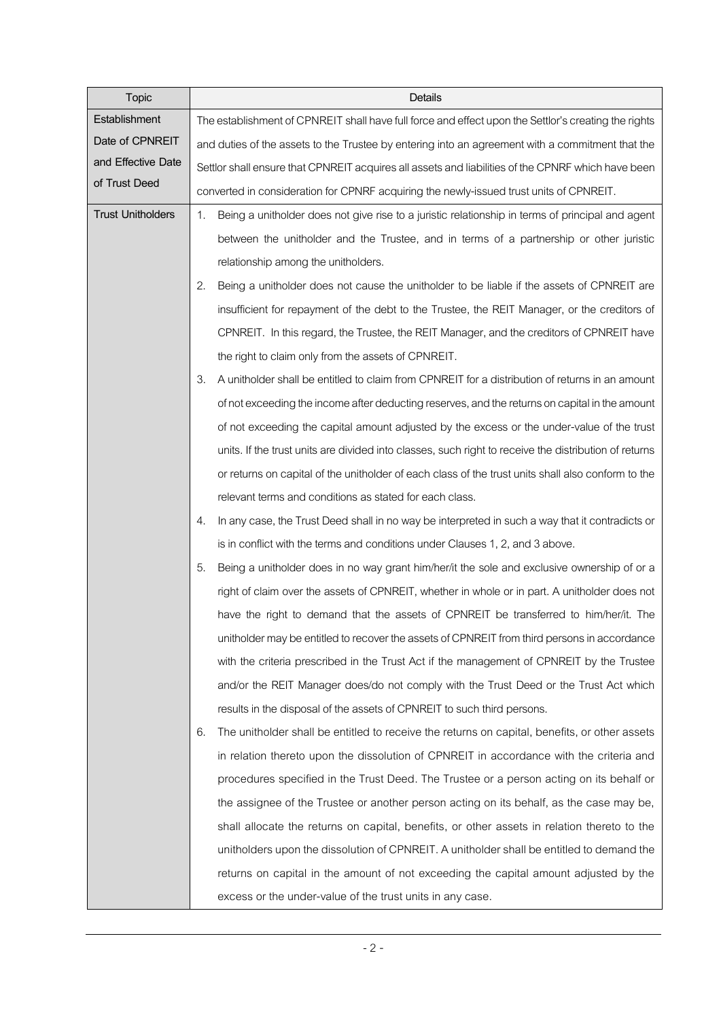| Topic                    | <b>Details</b>                                                                                         |
|--------------------------|--------------------------------------------------------------------------------------------------------|
| Establishment            | The establishment of CPNREIT shall have full force and effect upon the Settlor's creating the rights   |
| Date of CPNREIT          | and duties of the assets to the Trustee by entering into an agreement with a commitment that the       |
| and Effective Date       | Settlor shall ensure that CPNREIT acquires all assets and liabilities of the CPNRF which have been     |
| of Trust Deed            | converted in consideration for CPNRF acquiring the newly-issued trust units of CPNREIT.                |
| <b>Trust Unitholders</b> | Being a unitholder does not give rise to a juristic relationship in terms of principal and agent<br>1. |
|                          | between the unitholder and the Trustee, and in terms of a partnership or other juristic                |
|                          | relationship among the unitholders.                                                                    |
|                          | Being a unitholder does not cause the unitholder to be liable if the assets of CPNREIT are<br>2.       |
|                          | insufficient for repayment of the debt to the Trustee, the REIT Manager, or the creditors of           |
|                          | CPNREIT. In this regard, the Trustee, the REIT Manager, and the creditors of CPNREIT have              |
|                          | the right to claim only from the assets of CPNREIT.                                                    |
|                          | A unitholder shall be entitled to claim from CPNREIT for a distribution of returns in an amount<br>3.  |
|                          | of not exceeding the income after deducting reserves, and the returns on capital in the amount         |
|                          | of not exceeding the capital amount adjusted by the excess or the under-value of the trust             |
|                          | units. If the trust units are divided into classes, such right to receive the distribution of returns  |
|                          | or returns on capital of the unitholder of each class of the trust units shall also conform to the     |
|                          | relevant terms and conditions as stated for each class.                                                |
|                          | In any case, the Trust Deed shall in no way be interpreted in such a way that it contradicts or<br>4.  |
|                          | is in conflict with the terms and conditions under Clauses 1, 2, and 3 above.                          |
|                          | Being a unitholder does in no way grant him/her/it the sole and exclusive ownership of or a<br>5.      |
|                          | right of claim over the assets of CPNREIT, whether in whole or in part. A unitholder does not          |
|                          | have the right to demand that the assets of CPNREIT be transferred to him/her/it. The                  |
|                          | unitholder may be entitled to recover the assets of CPNREIT from third persons in accordance           |
|                          | with the criteria prescribed in the Trust Act if the management of CPNREIT by the Trustee              |
|                          | and/or the REIT Manager does/do not comply with the Trust Deed or the Trust Act which                  |
|                          | results in the disposal of the assets of CPNREIT to such third persons.                                |
|                          | The unitholder shall be entitled to receive the returns on capital, benefits, or other assets<br>6.    |
|                          | in relation thereto upon the dissolution of CPNREIT in accordance with the criteria and                |
|                          | procedures specified in the Trust Deed. The Trustee or a person acting on its behalf or                |
|                          | the assignee of the Trustee or another person acting on its behalf, as the case may be,                |
|                          | shall allocate the returns on capital, benefits, or other assets in relation thereto to the            |
|                          | unitholders upon the dissolution of CPNREIT. A unitholder shall be entitled to demand the              |
|                          | returns on capital in the amount of not exceeding the capital amount adjusted by the                   |
|                          | excess or the under-value of the trust units in any case.                                              |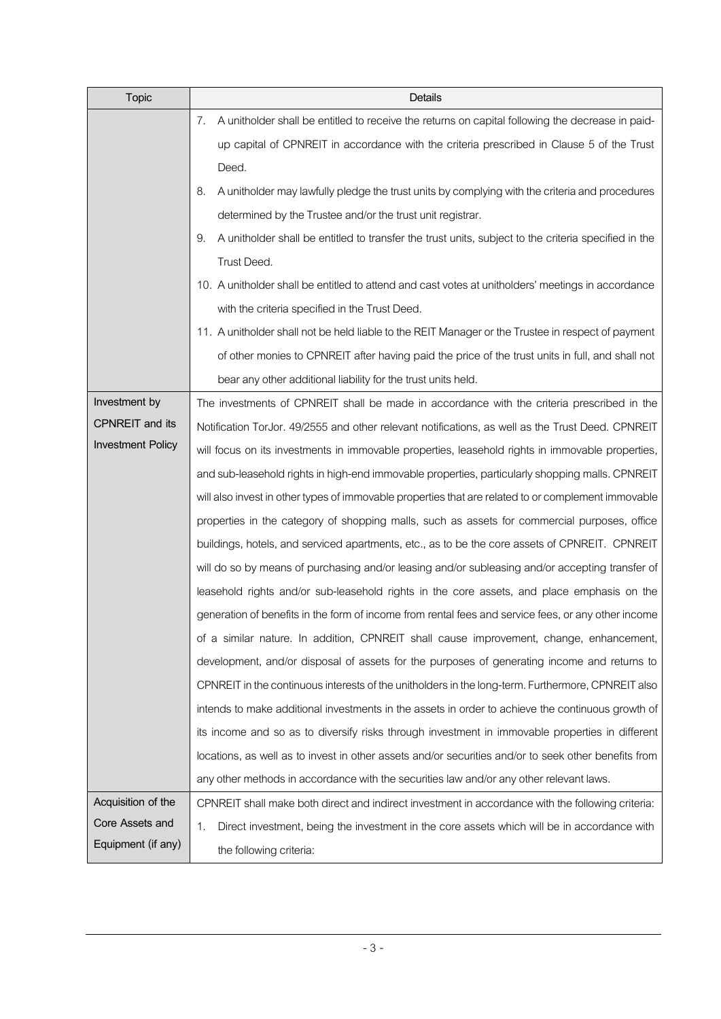| <b>Topic</b>             | Details                                                                                                                                                                                                                                                                                           |  |  |  |  |  |  |
|--------------------------|---------------------------------------------------------------------------------------------------------------------------------------------------------------------------------------------------------------------------------------------------------------------------------------------------|--|--|--|--|--|--|
|                          | A unitholder shall be entitled to receive the returns on capital following the decrease in paid-<br>7.                                                                                                                                                                                            |  |  |  |  |  |  |
|                          | up capital of CPNREIT in accordance with the criteria prescribed in Clause 5 of the Trust                                                                                                                                                                                                         |  |  |  |  |  |  |
|                          | Deed.                                                                                                                                                                                                                                                                                             |  |  |  |  |  |  |
|                          | A unitholder may lawfully pledge the trust units by complying with the criteria and procedures<br>8.                                                                                                                                                                                              |  |  |  |  |  |  |
|                          | determined by the Trustee and/or the trust unit registrar.                                                                                                                                                                                                                                        |  |  |  |  |  |  |
|                          | A unitholder shall be entitled to transfer the trust units, subject to the criteria specified in the<br>9.                                                                                                                                                                                        |  |  |  |  |  |  |
|                          | Trust Deed.                                                                                                                                                                                                                                                                                       |  |  |  |  |  |  |
|                          | 10. A unitholder shall be entitled to attend and cast votes at unitholders' meetings in accordance                                                                                                                                                                                                |  |  |  |  |  |  |
|                          | with the criteria specified in the Trust Deed.                                                                                                                                                                                                                                                    |  |  |  |  |  |  |
|                          | 11. A unitholder shall not be held liable to the REIT Manager or the Trustee in respect of payment                                                                                                                                                                                                |  |  |  |  |  |  |
|                          | of other monies to CPNREIT after having paid the price of the trust units in full, and shall not                                                                                                                                                                                                  |  |  |  |  |  |  |
|                          | bear any other additional liability for the trust units held.                                                                                                                                                                                                                                     |  |  |  |  |  |  |
| Investment by            | The investments of CPNREIT shall be made in accordance with the criteria prescribed in the                                                                                                                                                                                                        |  |  |  |  |  |  |
| <b>CPNREIT</b> and its   | Notification TorJor. 49/2555 and other relevant notifications, as well as the Trust Deed. CPNREIT                                                                                                                                                                                                 |  |  |  |  |  |  |
| <b>Investment Policy</b> | will focus on its investments in immovable properties, leasehold rights in immovable properties,                                                                                                                                                                                                  |  |  |  |  |  |  |
|                          | and sub-leasehold rights in high-end immovable properties, particularly shopping malls. CPNREIT                                                                                                                                                                                                   |  |  |  |  |  |  |
|                          | will also invest in other types of immovable properties that are related to or complement immovable                                                                                                                                                                                               |  |  |  |  |  |  |
|                          | properties in the category of shopping malls, such as assets for commercial purposes, office<br>buildings, hotels, and serviced apartments, etc., as to be the core assets of CPNREIT. CPNREIT<br>will do so by means of purchasing and/or leasing and/or subleasing and/or accepting transfer of |  |  |  |  |  |  |
|                          |                                                                                                                                                                                                                                                                                                   |  |  |  |  |  |  |
|                          |                                                                                                                                                                                                                                                                                                   |  |  |  |  |  |  |
|                          | leasehold rights and/or sub-leasehold rights in the core assets, and place emphasis on the                                                                                                                                                                                                        |  |  |  |  |  |  |
|                          | generation of benefits in the form of income from rental fees and service fees, or any other income                                                                                                                                                                                               |  |  |  |  |  |  |
|                          | of a similar nature. In addition, CPNREIT shall cause improvement, change, enhancement,                                                                                                                                                                                                           |  |  |  |  |  |  |
|                          | development, and/or disposal of assets for the purposes of generating income and returns to                                                                                                                                                                                                       |  |  |  |  |  |  |
|                          | CPNREIT in the continuous interests of the unitholders in the long-term. Furthermore, CPNREIT also                                                                                                                                                                                                |  |  |  |  |  |  |
|                          | intends to make additional investments in the assets in order to achieve the continuous growth of                                                                                                                                                                                                 |  |  |  |  |  |  |
|                          | its income and so as to diversify risks through investment in immovable properties in different                                                                                                                                                                                                   |  |  |  |  |  |  |
|                          | locations, as well as to invest in other assets and/or securities and/or to seek other benefits from                                                                                                                                                                                              |  |  |  |  |  |  |
|                          | any other methods in accordance with the securities law and/or any other relevant laws.                                                                                                                                                                                                           |  |  |  |  |  |  |
| Acquisition of the       | CPNREIT shall make both direct and indirect investment in accordance with the following criteria:                                                                                                                                                                                                 |  |  |  |  |  |  |
| Core Assets and          | Direct investment, being the investment in the core assets which will be in accordance with<br>1.                                                                                                                                                                                                 |  |  |  |  |  |  |
| Equipment (if any)       | the following criteria:                                                                                                                                                                                                                                                                           |  |  |  |  |  |  |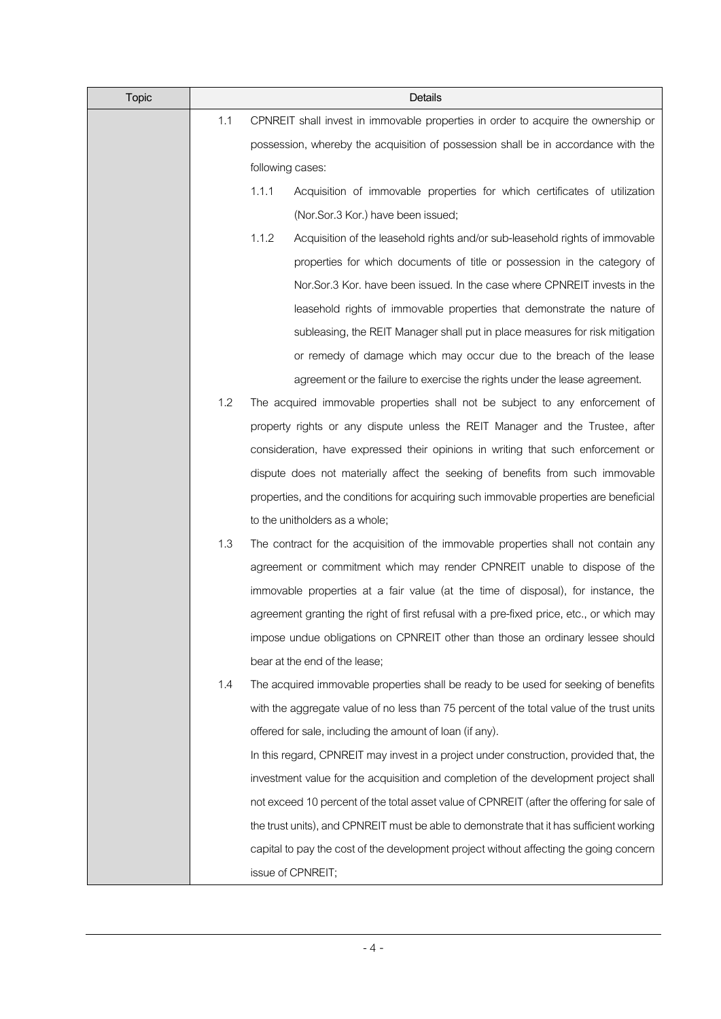| <b>Topic</b> |     | Details                                                                                   |
|--------------|-----|-------------------------------------------------------------------------------------------|
|              | 1.1 | CPNREIT shall invest in immovable properties in order to acquire the ownership or         |
|              |     | possession, whereby the acquisition of possession shall be in accordance with the         |
|              |     | following cases:                                                                          |
|              |     | 1.1.1<br>Acquisition of immovable properties for which certificates of utilization        |
|              |     | (Nor.Sor.3 Kor.) have been issued;                                                        |
|              |     | 1.1.2<br>Acquisition of the leasehold rights and/or sub-leasehold rights of immovable     |
|              |     | properties for which documents of title or possession in the category of                  |
|              |     | Nor.Sor.3 Kor. have been issued. In the case where CPNREIT invests in the                 |
|              |     | leasehold rights of immovable properties that demonstrate the nature of                   |
|              |     | subleasing, the REIT Manager shall put in place measures for risk mitigation              |
|              |     | or remedy of damage which may occur due to the breach of the lease                        |
|              |     | agreement or the failure to exercise the rights under the lease agreement.                |
|              | 1.2 | The acquired immovable properties shall not be subject to any enforcement of              |
|              |     | property rights or any dispute unless the REIT Manager and the Trustee, after             |
|              |     | consideration, have expressed their opinions in writing that such enforcement or          |
|              |     | dispute does not materially affect the seeking of benefits from such immovable            |
|              |     | properties, and the conditions for acquiring such immovable properties are beneficial     |
|              |     | to the unitholders as a whole;                                                            |
|              | 1.3 | The contract for the acquisition of the immovable properties shall not contain any        |
|              |     | agreement or commitment which may render CPNREIT unable to dispose of the                 |
|              |     | immovable properties at a fair value (at the time of disposal), for instance, the         |
|              |     | agreement granting the right of first refusal with a pre-fixed price, etc., or which may  |
|              |     | impose undue obligations on CPNREIT other than those an ordinary lessee should            |
|              |     | bear at the end of the lease;                                                             |
|              | 1.4 | The acquired immovable properties shall be ready to be used for seeking of benefits       |
|              |     | with the aggregate value of no less than 75 percent of the total value of the trust units |
|              |     | offered for sale, including the amount of loan (if any).                                  |
|              |     | In this regard, CPNREIT may invest in a project under construction, provided that, the    |
|              |     | investment value for the acquisition and completion of the development project shall      |
|              |     | not exceed 10 percent of the total asset value of CPNREIT (after the offering for sale of |
|              |     | the trust units), and CPNREIT must be able to demonstrate that it has sufficient working  |
|              |     | capital to pay the cost of the development project without affecting the going concern    |
|              |     | issue of CPNREIT;                                                                         |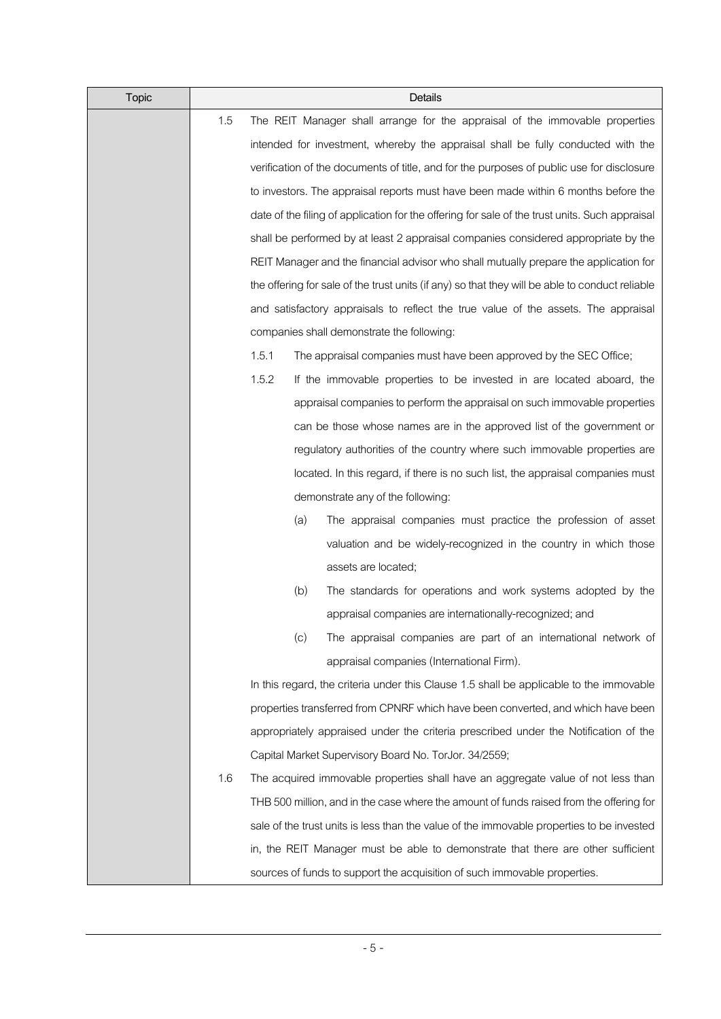| <b>Topic</b> |     |       |     | Details                                                                                         |
|--------------|-----|-------|-----|-------------------------------------------------------------------------------------------------|
|              | 1.5 |       |     | The REIT Manager shall arrange for the appraisal of the immovable properties                    |
|              |     |       |     | intended for investment, whereby the appraisal shall be fully conducted with the                |
|              |     |       |     | verification of the documents of title, and for the purposes of public use for disclosure       |
|              |     |       |     | to investors. The appraisal reports must have been made within 6 months before the              |
|              |     |       |     | date of the filing of application for the offering for sale of the trust units. Such appraisal  |
|              |     |       |     | shall be performed by at least 2 appraisal companies considered appropriate by the              |
|              |     |       |     | REIT Manager and the financial advisor who shall mutually prepare the application for           |
|              |     |       |     | the offering for sale of the trust units (if any) so that they will be able to conduct reliable |
|              |     |       |     | and satisfactory appraisals to reflect the true value of the assets. The appraisal              |
|              |     |       |     | companies shall demonstrate the following:                                                      |
|              |     | 1.5.1 |     | The appraisal companies must have been approved by the SEC Office;                              |
|              |     | 1.5.2 |     | If the immovable properties to be invested in are located aboard, the                           |
|              |     |       |     | appraisal companies to perform the appraisal on such immovable properties                       |
|              |     |       |     | can be those whose names are in the approved list of the government or                          |
|              |     |       |     | regulatory authorities of the country where such immovable properties are                       |
|              |     |       |     | located. In this regard, if there is no such list, the appraisal companies must                 |
|              |     |       |     | demonstrate any of the following:                                                               |
|              |     |       | (a) | The appraisal companies must practice the profession of asset                                   |
|              |     |       |     | valuation and be widely-recognized in the country in which those                                |
|              |     |       |     | assets are located;                                                                             |
|              |     |       | (b) | The standards for operations and work systems adopted by the                                    |
|              |     |       |     | appraisal companies are internationally-recognized; and                                         |
|              |     |       | (c) | The appraisal companies are part of an international network of                                 |
|              |     |       |     | appraisal companies (International Firm).                                                       |
|              |     |       |     | In this regard, the criteria under this Clause 1.5 shall be applicable to the immovable         |
|              |     |       |     | properties transferred from CPNRF which have been converted, and which have been                |
|              |     |       |     | appropriately appraised under the criteria prescribed under the Notification of the             |
|              |     |       |     | Capital Market Supervisory Board No. TorJor. 34/2559;                                           |
|              | 1.6 |       |     | The acquired immovable properties shall have an aggregate value of not less than                |
|              |     |       |     | THB 500 million, and in the case where the amount of funds raised from the offering for         |
|              |     |       |     | sale of the trust units is less than the value of the immovable properties to be invested       |
|              |     |       |     | in, the REIT Manager must be able to demonstrate that there are other sufficient                |
|              |     |       |     | sources of funds to support the acquisition of such immovable properties.                       |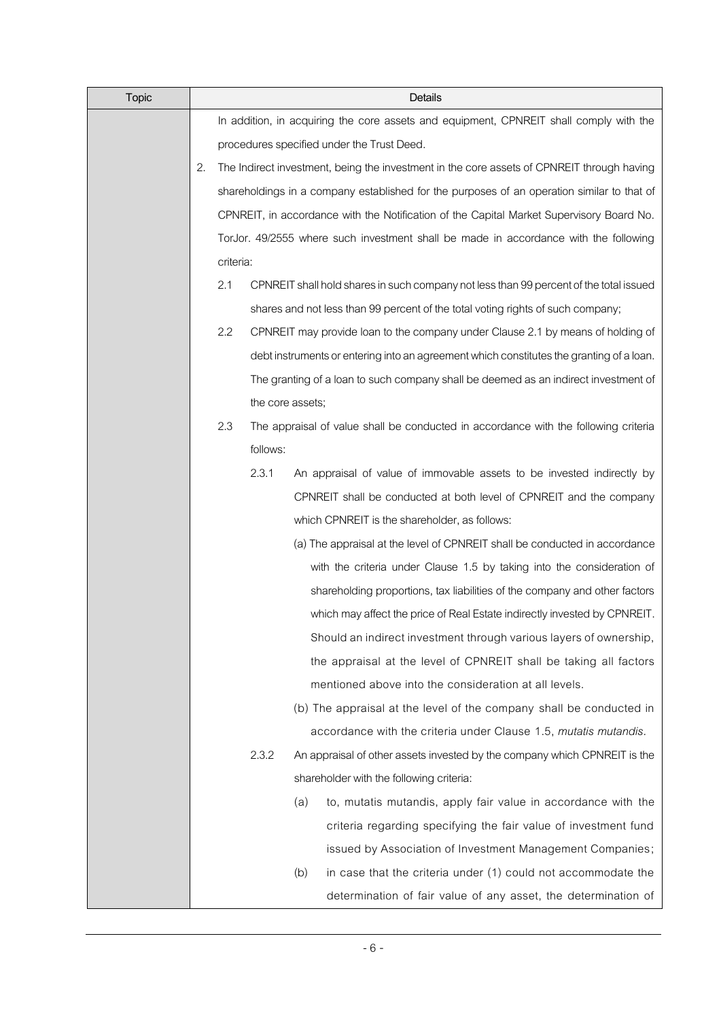| <b>Topic</b> |    |           |          | Details                                                                                    |
|--------------|----|-----------|----------|--------------------------------------------------------------------------------------------|
|              |    |           |          | In addition, in acquiring the core assets and equipment, CPNREIT shall comply with the     |
|              |    |           |          | procedures specified under the Trust Deed.                                                 |
|              | 2. |           |          | The Indirect investment, being the investment in the core assets of CPNREIT through having |
|              |    |           |          | shareholdings in a company established for the purposes of an operation similar to that of |
|              |    |           |          | CPNREIT, in accordance with the Notification of the Capital Market Supervisory Board No.   |
|              |    |           |          | TorJor. 49/2555 where such investment shall be made in accordance with the following       |
|              |    | criteria: |          |                                                                                            |
|              |    | 2.1       |          | CPNREIT shall hold shares in such company not less than 99 percent of the total issued     |
|              |    |           |          | shares and not less than 99 percent of the total voting rights of such company;            |
|              |    | 2.2       |          | CPNREIT may provide loan to the company under Clause 2.1 by means of holding of            |
|              |    |           |          | debt instruments or entering into an agreement which constitutes the granting of a loan.   |
|              |    |           |          | The granting of a loan to such company shall be deemed as an indirect investment of        |
|              |    |           |          | the core assets;                                                                           |
|              |    | 2.3       |          | The appraisal of value shall be conducted in accordance with the following criteria        |
|              |    |           | follows: |                                                                                            |
|              |    |           | 2.3.1    | An appraisal of value of immovable assets to be invested indirectly by                     |
|              |    |           |          | CPNREIT shall be conducted at both level of CPNREIT and the company                        |
|              |    |           |          | which CPNREIT is the shareholder, as follows:                                              |
|              |    |           |          | (a) The appraisal at the level of CPNREIT shall be conducted in accordance                 |
|              |    |           |          | with the criteria under Clause 1.5 by taking into the consideration of                     |
|              |    |           |          | shareholding proportions, tax liabilities of the company and other factors                 |
|              |    |           |          | which may affect the price of Real Estate indirectly invested by CPNREIT.                  |
|              |    |           |          | Should an indirect investment through various layers of ownership,                         |
|              |    |           |          | the appraisal at the level of CPNREIT shall be taking all factors                          |
|              |    |           |          | mentioned above into the consideration at all levels.                                      |
|              |    |           |          | (b) The appraisal at the level of the company shall be conducted in                        |
|              |    |           |          | accordance with the criteria under Clause 1.5, mutatis mutandis.                           |
|              |    |           | 2.3.2    | An appraisal of other assets invested by the company which CPNREIT is the                  |
|              |    |           |          | shareholder with the following criteria:                                                   |
|              |    |           |          | to, mutatis mutandis, apply fair value in accordance with the<br>(a)                       |
|              |    |           |          | criteria regarding specifying the fair value of investment fund                            |
|              |    |           |          | issued by Association of Investment Management Companies;                                  |
|              |    |           |          | in case that the criteria under (1) could not accommodate the<br>(b)                       |
|              |    |           |          | determination of fair value of any asset, the determination of                             |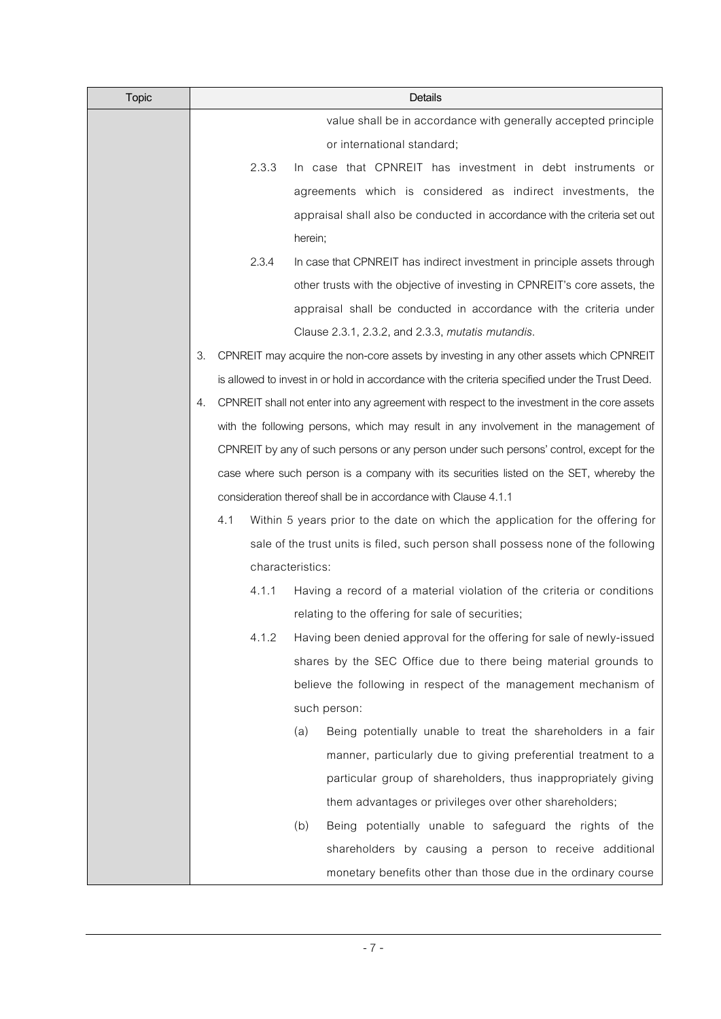| <b>Topic</b> |    |     |       | Details                                                                                         |
|--------------|----|-----|-------|-------------------------------------------------------------------------------------------------|
|              |    |     |       | value shall be in accordance with generally accepted principle                                  |
|              |    |     |       | or international standard;                                                                      |
|              |    |     | 2.3.3 | In case that CPNREIT has investment in debt instruments or                                      |
|              |    |     |       | agreements which is considered as indirect investments, the                                     |
|              |    |     |       | appraisal shall also be conducted in accordance with the criteria set out                       |
|              |    |     |       | herein;                                                                                         |
|              |    |     | 2.3.4 | In case that CPNREIT has indirect investment in principle assets through                        |
|              |    |     |       | other trusts with the objective of investing in CPNREIT's core assets, the                      |
|              |    |     |       | appraisal shall be conducted in accordance with the criteria under                              |
|              |    |     |       | Clause 2.3.1, 2.3.2, and 2.3.3, mutatis mutandis.                                               |
|              | 3. |     |       | CPNREIT may acquire the non-core assets by investing in any other assets which CPNREIT          |
|              |    |     |       | is allowed to invest in or hold in accordance with the criteria specified under the Trust Deed. |
|              | 4. |     |       | CPNREIT shall not enter into any agreement with respect to the investment in the core assets    |
|              |    |     |       | with the following persons, which may result in any involvement in the management of            |
|              |    |     |       | CPNREIT by any of such persons or any person under such persons' control, except for the        |
|              |    |     |       | case where such person is a company with its securities listed on the SET, whereby the          |
|              |    |     |       | consideration thereof shall be in accordance with Clause 4.1.1                                  |
|              |    | 4.1 |       | Within 5 years prior to the date on which the application for the offering for                  |
|              |    |     |       | sale of the trust units is filed, such person shall possess none of the following               |
|              |    |     |       | characteristics:                                                                                |
|              |    |     | 4.1.1 | Having a record of a material violation of the criteria or conditions                           |
|              |    |     |       | relating to the offering for sale of securities;                                                |
|              |    |     | 4.1.2 | Having been denied approval for the offering for sale of newly-issued                           |
|              |    |     |       | shares by the SEC Office due to there being material grounds to                                 |
|              |    |     |       | believe the following in respect of the management mechanism of                                 |
|              |    |     |       | such person:                                                                                    |
|              |    |     |       | Being potentially unable to treat the shareholders in a fair<br>(a)                             |
|              |    |     |       | manner, particularly due to giving preferential treatment to a                                  |
|              |    |     |       | particular group of shareholders, thus inappropriately giving                                   |
|              |    |     |       | them advantages or privileges over other shareholders;                                          |
|              |    |     |       | Being potentially unable to safeguard the rights of the<br>(b)                                  |
|              |    |     |       | shareholders by causing a person to receive additional                                          |
|              |    |     |       | monetary benefits other than those due in the ordinary course                                   |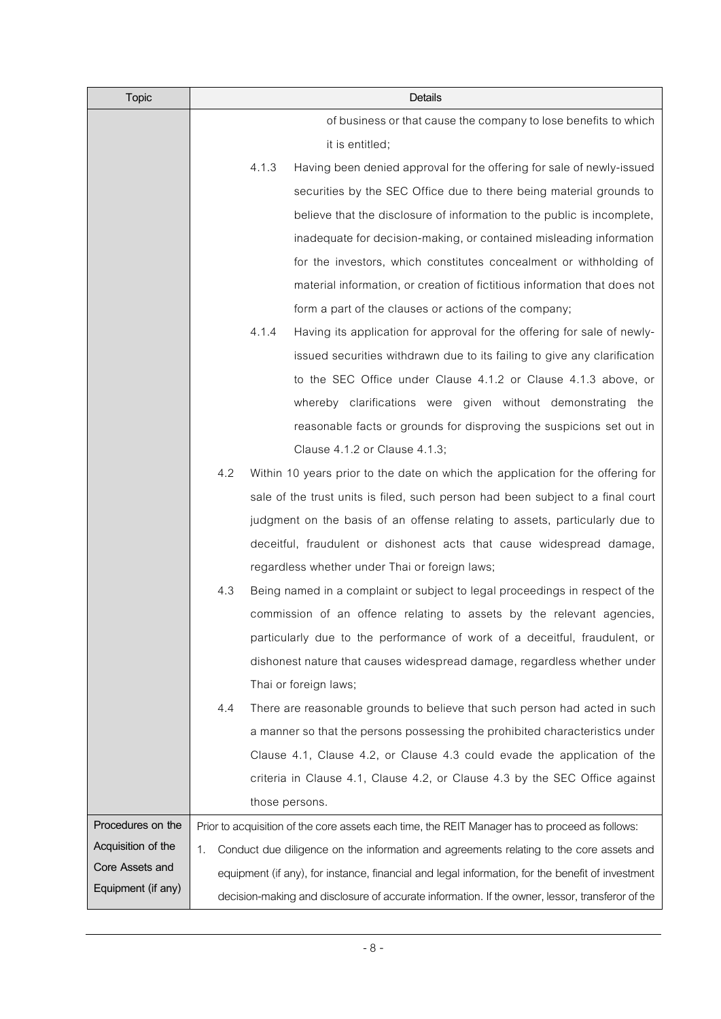| <b>Topic</b>       |     | Details                                                                                          |
|--------------------|-----|--------------------------------------------------------------------------------------------------|
|                    |     | of business or that cause the company to lose benefits to which                                  |
|                    |     | it is entitled;                                                                                  |
|                    |     | 4.1.3<br>Having been denied approval for the offering for sale of newly-issued                   |
|                    |     | securities by the SEC Office due to there being material grounds to                              |
|                    |     | believe that the disclosure of information to the public is incomplete,                          |
|                    |     | inadequate for decision-making, or contained misleading information                              |
|                    |     | for the investors, which constitutes concealment or withholding of                               |
|                    |     | material information, or creation of fictitious information that does not                        |
|                    |     | form a part of the clauses or actions of the company;                                            |
|                    |     | 4.1.4<br>Having its application for approval for the offering for sale of newly-                 |
|                    |     | issued securities withdrawn due to its failing to give any clarification                         |
|                    |     | to the SEC Office under Clause 4.1.2 or Clause 4.1.3 above, or                                   |
|                    |     | whereby clarifications were given without demonstrating the                                      |
|                    |     | reasonable facts or grounds for disproving the suspicions set out in                             |
|                    |     | Clause 4.1.2 or Clause 4.1.3;                                                                    |
|                    | 4.2 | Within 10 years prior to the date on which the application for the offering for                  |
|                    |     | sale of the trust units is filed, such person had been subject to a final court                  |
|                    |     | judgment on the basis of an offense relating to assets, particularly due to                      |
|                    |     | deceitful, fraudulent or dishonest acts that cause widespread damage,                            |
|                    |     | regardless whether under Thai or foreign laws;                                                   |
|                    | 4.3 | Being named in a complaint or subject to legal proceedings in respect of the                     |
|                    |     | commission of an offence relating to assets by the relevant agencies,                            |
|                    |     | particularly due to the performance of work of a deceitful, fraudulent, or                       |
|                    |     | dishonest nature that causes widespread damage, regardless whether under                         |
|                    |     | Thai or foreign laws;                                                                            |
|                    | 4.4 | There are reasonable grounds to believe that such person had acted in such                       |
|                    |     | a manner so that the persons possessing the prohibited characteristics under                     |
|                    |     | Clause 4.1, Clause 4.2, or Clause 4.3 could evade the application of the                         |
|                    |     | criteria in Clause 4.1, Clause 4.2, or Clause 4.3 by the SEC Office against                      |
|                    |     | those persons.                                                                                   |
| Procedures on the  |     | Prior to acquisition of the core assets each time, the REIT Manager has to proceed as follows:   |
| Acquisition of the | 1.  | Conduct due diligence on the information and agreements relating to the core assets and          |
| Core Assets and    |     | equipment (if any), for instance, financial and legal information, for the benefit of investment |
| Equipment (if any) |     | decision-making and disclosure of accurate information. If the owner, lessor, transferor of the  |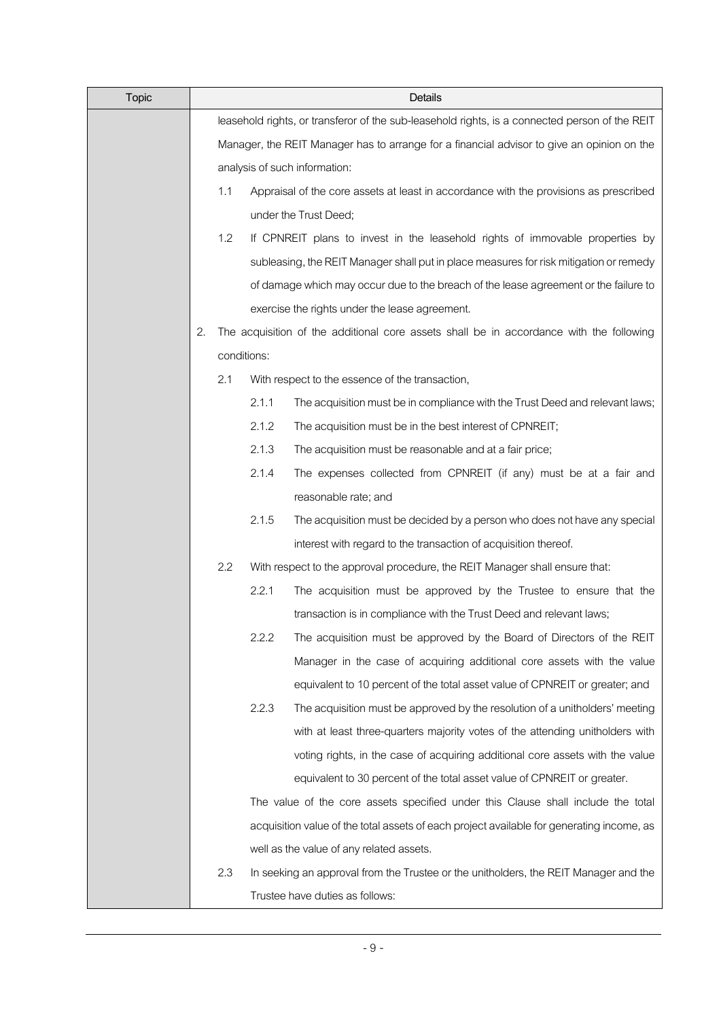| <b>Topic</b> | Details |                                                                                            |                               |                                                                                                |  |  |
|--------------|---------|--------------------------------------------------------------------------------------------|-------------------------------|------------------------------------------------------------------------------------------------|--|--|
|              |         |                                                                                            |                               | leasehold rights, or transferor of the sub-leasehold rights, is a connected person of the REIT |  |  |
|              |         | Manager, the REIT Manager has to arrange for a financial advisor to give an opinion on the |                               |                                                                                                |  |  |
|              |         |                                                                                            | analysis of such information: |                                                                                                |  |  |
|              |         | 1.1                                                                                        |                               | Appraisal of the core assets at least in accordance with the provisions as prescribed          |  |  |
|              |         |                                                                                            |                               | under the Trust Deed;                                                                          |  |  |
|              |         | 1.2                                                                                        |                               | If CPNREIT plans to invest in the leasehold rights of immovable properties by                  |  |  |
|              |         |                                                                                            |                               | subleasing, the REIT Manager shall put in place measures for risk mitigation or remedy         |  |  |
|              |         |                                                                                            |                               | of damage which may occur due to the breach of the lease agreement or the failure to           |  |  |
|              |         |                                                                                            |                               | exercise the rights under the lease agreement.                                                 |  |  |
|              | 2.      |                                                                                            |                               | The acquisition of the additional core assets shall be in accordance with the following        |  |  |
|              |         |                                                                                            | conditions:                   |                                                                                                |  |  |
|              |         | 2.1                                                                                        |                               | With respect to the essence of the transaction,                                                |  |  |
|              |         |                                                                                            | 2.1.1                         | The acquisition must be in compliance with the Trust Deed and relevant laws;                   |  |  |
|              |         |                                                                                            | 2.1.2                         | The acquisition must be in the best interest of CPNREIT;                                       |  |  |
|              |         |                                                                                            | 2.1.3                         | The acquisition must be reasonable and at a fair price;                                        |  |  |
|              |         |                                                                                            | 2.1.4                         | The expenses collected from CPNREIT (if any) must be at a fair and                             |  |  |
|              |         |                                                                                            |                               | reasonable rate; and                                                                           |  |  |
|              |         |                                                                                            | 2.1.5                         | The acquisition must be decided by a person who does not have any special                      |  |  |
|              |         |                                                                                            |                               | interest with regard to the transaction of acquisition thereof.                                |  |  |
|              |         | 2.2                                                                                        |                               | With respect to the approval procedure, the REIT Manager shall ensure that:                    |  |  |
|              |         |                                                                                            | 2.2.1                         | The acquisition must be approved by the Trustee to ensure that the                             |  |  |
|              |         |                                                                                            |                               | transaction is in compliance with the Trust Deed and relevant laws;                            |  |  |
|              |         |                                                                                            | 2.2.2                         | The acquisition must be approved by the Board of Directors of the REIT                         |  |  |
|              |         |                                                                                            |                               | Manager in the case of acquiring additional core assets with the value                         |  |  |
|              |         |                                                                                            |                               | equivalent to 10 percent of the total asset value of CPNREIT or greater; and                   |  |  |
|              |         |                                                                                            | 2.2.3                         | The acquisition must be approved by the resolution of a unitholders' meeting                   |  |  |
|              |         |                                                                                            |                               | with at least three-quarters majority votes of the attending unitholders with                  |  |  |
|              |         |                                                                                            |                               | voting rights, in the case of acquiring additional core assets with the value                  |  |  |
|              |         |                                                                                            |                               | equivalent to 30 percent of the total asset value of CPNREIT or greater.                       |  |  |
|              |         |                                                                                            |                               | The value of the core assets specified under this Clause shall include the total               |  |  |
|              |         |                                                                                            |                               | acquisition value of the total assets of each project available for generating income, as      |  |  |
|              |         |                                                                                            |                               | well as the value of any related assets.                                                       |  |  |
|              |         | 2.3                                                                                        |                               | In seeking an approval from the Trustee or the unitholders, the REIT Manager and the           |  |  |
|              |         |                                                                                            |                               | Trustee have duties as follows:                                                                |  |  |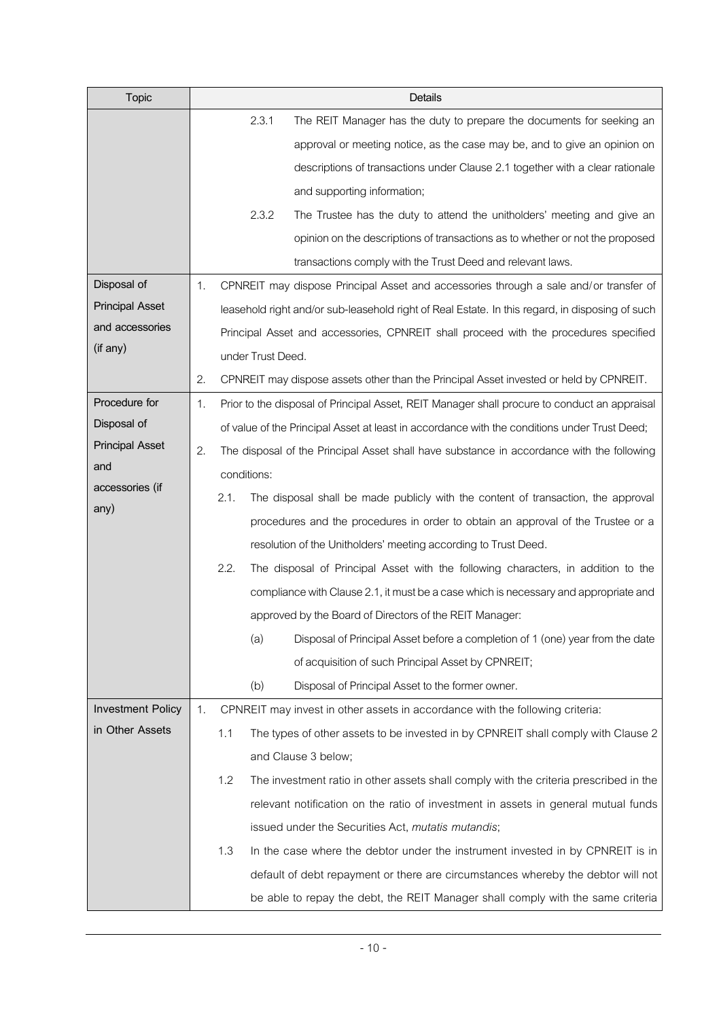| <b>Topic</b>             | Details                                                                                            |
|--------------------------|----------------------------------------------------------------------------------------------------|
|                          | 2.3.1<br>The REIT Manager has the duty to prepare the documents for seeking an                     |
|                          | approval or meeting notice, as the case may be, and to give an opinion on                          |
|                          | descriptions of transactions under Clause 2.1 together with a clear rationale                      |
|                          | and supporting information;                                                                        |
|                          | 2.3.2<br>The Trustee has the duty to attend the unitholders' meeting and give an                   |
|                          | opinion on the descriptions of transactions as to whether or not the proposed                      |
|                          | transactions comply with the Trust Deed and relevant laws.                                         |
| Disposal of              | CPNREIT may dispose Principal Asset and accessories through a sale and/or transfer of<br>1.        |
| <b>Principal Asset</b>   | leasehold right and/or sub-leasehold right of Real Estate. In this regard, in disposing of such    |
| and accessories          | Principal Asset and accessories, CPNREIT shall proceed with the procedures specified               |
| (if any)                 | under Trust Deed.                                                                                  |
|                          | 2.<br>CPNREIT may dispose assets other than the Principal Asset invested or held by CPNREIT.       |
| Procedure for            | 1.<br>Prior to the disposal of Principal Asset, REIT Manager shall procure to conduct an appraisal |
| Disposal of              | of value of the Principal Asset at least in accordance with the conditions under Trust Deed;       |
| <b>Principal Asset</b>   | 2.<br>The disposal of the Principal Asset shall have substance in accordance with the following    |
| and                      | conditions:                                                                                        |
| accessories (if          | 2.1.<br>The disposal shall be made publicly with the content of transaction, the approval          |
| any)                     | procedures and the procedures in order to obtain an approval of the Trustee or a                   |
|                          | resolution of the Unitholders' meeting according to Trust Deed.                                    |
|                          | 2.2.<br>The disposal of Principal Asset with the following characters, in addition to the          |
|                          | compliance with Clause 2.1, it must be a case which is necessary and appropriate and               |
|                          | approved by the Board of Directors of the REIT Manager:                                            |
|                          | (a)<br>Disposal of Principal Asset before a completion of 1 (one) year from the date               |
|                          | of acquisition of such Principal Asset by CPNREIT;                                                 |
|                          | Disposal of Principal Asset to the former owner.<br>(b)                                            |
| <b>Investment Policy</b> | 1.<br>CPNREIT may invest in other assets in accordance with the following criteria:                |
| in Other Assets          | 1.1<br>The types of other assets to be invested in by CPNREIT shall comply with Clause 2           |
|                          | and Clause 3 below;                                                                                |
|                          | 1.2<br>The investment ratio in other assets shall comply with the criteria prescribed in the       |
|                          | relevant notification on the ratio of investment in assets in general mutual funds                 |
|                          | issued under the Securities Act, mutatis mutandis;                                                 |
|                          | 1.3<br>In the case where the debtor under the instrument invested in by CPNREIT is in              |
|                          | default of debt repayment or there are circumstances whereby the debtor will not                   |
|                          | be able to repay the debt, the REIT Manager shall comply with the same criteria                    |
|                          |                                                                                                    |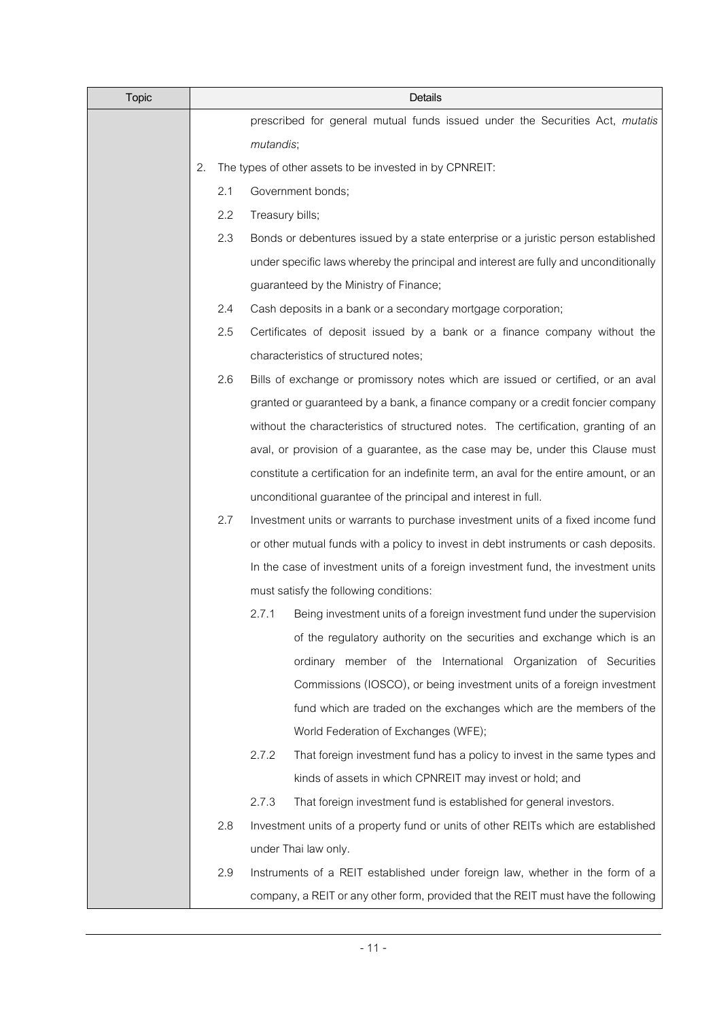| <b>Topic</b> | Details |     |                                                                                         |  |  |
|--------------|---------|-----|-----------------------------------------------------------------------------------------|--|--|
|              |         |     | prescribed for general mutual funds issued under the Securities Act, mutatis            |  |  |
|              |         |     | mutandis;                                                                               |  |  |
|              | 2.      |     | The types of other assets to be invested in by CPNREIT:                                 |  |  |
|              |         | 2.1 | Government bonds;                                                                       |  |  |
|              |         | 2.2 | Treasury bills;                                                                         |  |  |
|              |         | 2.3 | Bonds or debentures issued by a state enterprise or a juristic person established       |  |  |
|              |         |     | under specific laws whereby the principal and interest are fully and unconditionally    |  |  |
|              |         |     | guaranteed by the Ministry of Finance;                                                  |  |  |
|              |         | 2.4 | Cash deposits in a bank or a secondary mortgage corporation;                            |  |  |
|              |         | 2.5 | Certificates of deposit issued by a bank or a finance company without the               |  |  |
|              |         |     | characteristics of structured notes;                                                    |  |  |
|              |         | 2.6 | Bills of exchange or promissory notes which are issued or certified, or an aval         |  |  |
|              |         |     | granted or guaranteed by a bank, a finance company or a credit foncier company          |  |  |
|              |         |     | without the characteristics of structured notes. The certification, granting of an      |  |  |
|              |         |     | aval, or provision of a guarantee, as the case may be, under this Clause must           |  |  |
|              |         |     | constitute a certification for an indefinite term, an aval for the entire amount, or an |  |  |
|              |         |     | unconditional guarantee of the principal and interest in full.                          |  |  |
|              |         | 2.7 | Investment units or warrants to purchase investment units of a fixed income fund        |  |  |
|              |         |     | or other mutual funds with a policy to invest in debt instruments or cash deposits.     |  |  |
|              |         |     | In the case of investment units of a foreign investment fund, the investment units      |  |  |
|              |         |     | must satisfy the following conditions:                                                  |  |  |
|              |         |     | 2.7.1<br>Being investment units of a foreign investment fund under the supervision      |  |  |
|              |         |     | of the regulatory authority on the securities and exchange which is an                  |  |  |
|              |         |     | ordinary member of the International Organization of Securities                         |  |  |
|              |         |     | Commissions (IOSCO), or being investment units of a foreign investment                  |  |  |
|              |         |     | fund which are traded on the exchanges which are the members of the                     |  |  |
|              |         |     | World Federation of Exchanges (WFE);                                                    |  |  |
|              |         |     | 2.7.2<br>That foreign investment fund has a policy to invest in the same types and      |  |  |
|              |         |     | kinds of assets in which CPNREIT may invest or hold; and                                |  |  |
|              |         |     | 2.7.3<br>That foreign investment fund is established for general investors.             |  |  |
|              |         | 2.8 | Investment units of a property fund or units of other REITs which are established       |  |  |
|              |         |     | under Thai law only.                                                                    |  |  |
|              |         | 2.9 | Instruments of a REIT established under foreign law, whether in the form of a           |  |  |
|              |         |     | company, a REIT or any other form, provided that the REIT must have the following       |  |  |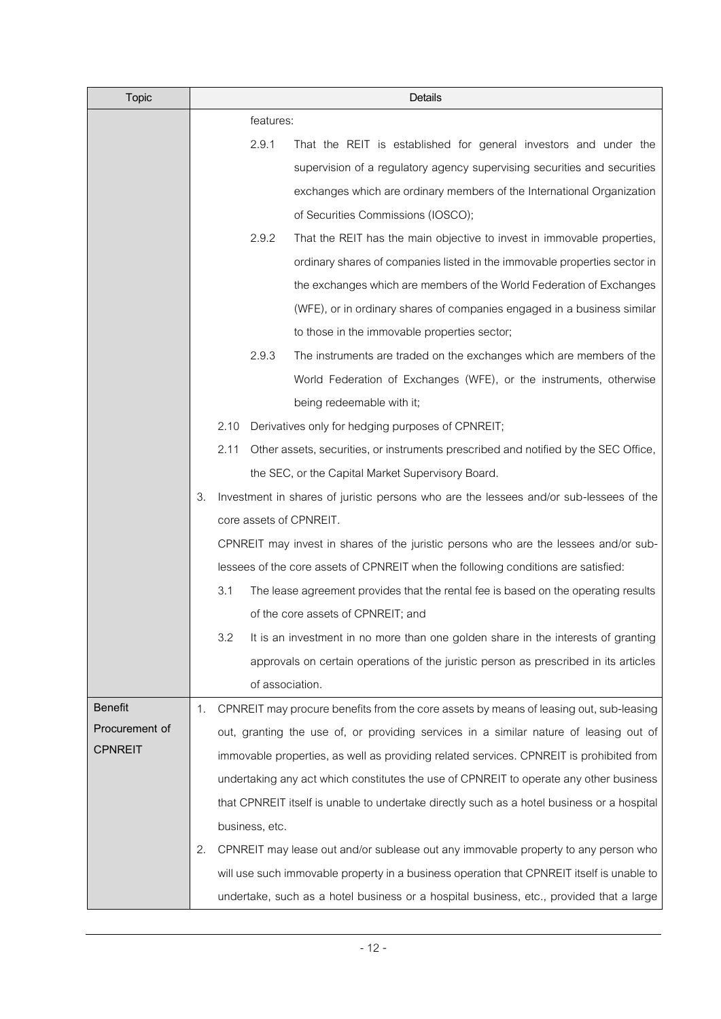| <b>Topic</b>   |    | Details |                                                                                        |                                                                                            |  |  |
|----------------|----|---------|----------------------------------------------------------------------------------------|--------------------------------------------------------------------------------------------|--|--|
|                |    |         | features:                                                                              |                                                                                            |  |  |
|                |    |         | 2.9.1                                                                                  | That the REIT is established for general investors and under the                           |  |  |
|                |    |         |                                                                                        | supervision of a regulatory agency supervising securities and securities                   |  |  |
|                |    |         |                                                                                        | exchanges which are ordinary members of the International Organization                     |  |  |
|                |    |         |                                                                                        | of Securities Commissions (IOSCO);                                                         |  |  |
|                |    |         | 2.9.2                                                                                  | That the REIT has the main objective to invest in immovable properties,                    |  |  |
|                |    |         |                                                                                        | ordinary shares of companies listed in the immovable properties sector in                  |  |  |
|                |    |         |                                                                                        | the exchanges which are members of the World Federation of Exchanges                       |  |  |
|                |    |         |                                                                                        | (WFE), or in ordinary shares of companies engaged in a business similar                    |  |  |
|                |    |         |                                                                                        | to those in the immovable properties sector;                                               |  |  |
|                |    |         | 2.9.3                                                                                  | The instruments are traded on the exchanges which are members of the                       |  |  |
|                |    |         |                                                                                        | World Federation of Exchanges (WFE), or the instruments, otherwise                         |  |  |
|                |    |         |                                                                                        | being redeemable with it;                                                                  |  |  |
|                |    | 2.10    |                                                                                        | Derivatives only for hedging purposes of CPNREIT;                                          |  |  |
|                |    | 2.11    |                                                                                        | Other assets, securities, or instruments prescribed and notified by the SEC Office,        |  |  |
|                |    |         |                                                                                        | the SEC, or the Capital Market Supervisory Board.                                          |  |  |
|                | 3. |         | Investment in shares of juristic persons who are the lessees and/or sub-lessees of the |                                                                                            |  |  |
|                |    |         |                                                                                        | core assets of CPNREIT.                                                                    |  |  |
|                |    |         |                                                                                        | CPNREIT may invest in shares of the juristic persons who are the lessees and/or sub-       |  |  |
|                |    |         |                                                                                        | lessees of the core assets of CPNREIT when the following conditions are satisfied:         |  |  |
|                |    | 3.1     |                                                                                        | The lease agreement provides that the rental fee is based on the operating results         |  |  |
|                |    |         |                                                                                        | of the core assets of CPNREIT; and                                                         |  |  |
|                |    | 3.2     |                                                                                        | It is an investment in no more than one golden share in the interests of granting          |  |  |
|                |    |         |                                                                                        | approvals on certain operations of the juristic person as prescribed in its articles       |  |  |
|                |    |         | of association.                                                                        |                                                                                            |  |  |
| <b>Benefit</b> | 1. |         |                                                                                        | CPNREIT may procure benefits from the core assets by means of leasing out, sub-leasing     |  |  |
| Procurement of |    |         |                                                                                        | out, granting the use of, or providing services in a similar nature of leasing out of      |  |  |
| <b>CPNREIT</b> |    |         |                                                                                        | immovable properties, as well as providing related services. CPNREIT is prohibited from    |  |  |
|                |    |         |                                                                                        | undertaking any act which constitutes the use of CPNREIT to operate any other business     |  |  |
|                |    |         |                                                                                        | that CPNREIT itself is unable to undertake directly such as a hotel business or a hospital |  |  |
|                |    |         | business, etc.                                                                         |                                                                                            |  |  |
|                | 2. |         |                                                                                        | CPNREIT may lease out and/or sublease out any immovable property to any person who         |  |  |
|                |    |         |                                                                                        | will use such immovable property in a business operation that CPNREIT itself is unable to  |  |  |
|                |    |         |                                                                                        | undertake, such as a hotel business or a hospital business, etc., provided that a large    |  |  |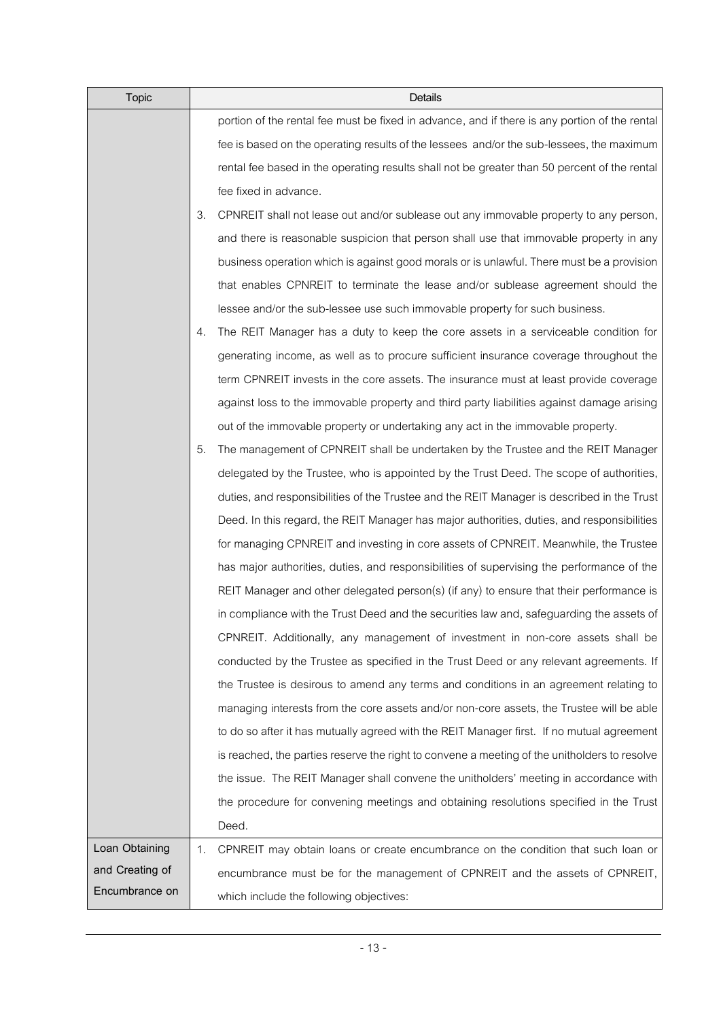| <b>Topic</b>    |    | Details                                                                                       |
|-----------------|----|-----------------------------------------------------------------------------------------------|
|                 |    | portion of the rental fee must be fixed in advance, and if there is any portion of the rental |
|                 |    | fee is based on the operating results of the lessees and/or the sub-lessees, the maximum      |
|                 |    | rental fee based in the operating results shall not be greater than 50 percent of the rental  |
|                 |    | fee fixed in advance.                                                                         |
|                 | З. | CPNREIT shall not lease out and/or sublease out any immovable property to any person,         |
|                 |    | and there is reasonable suspicion that person shall use that immovable property in any        |
|                 |    | business operation which is against good morals or is unlawful. There must be a provision     |
|                 |    | that enables CPNREIT to terminate the lease and/or sublease agreement should the              |
|                 |    | lessee and/or the sub-lessee use such immovable property for such business.                   |
|                 | 4. | The REIT Manager has a duty to keep the core assets in a serviceable condition for            |
|                 |    | generating income, as well as to procure sufficient insurance coverage throughout the         |
|                 |    | term CPNREIT invests in the core assets. The insurance must at least provide coverage         |
|                 |    | against loss to the immovable property and third party liabilities against damage arising     |
|                 |    | out of the immovable property or undertaking any act in the immovable property.               |
|                 | 5. | The management of CPNREIT shall be undertaken by the Trustee and the REIT Manager             |
|                 |    | delegated by the Trustee, who is appointed by the Trust Deed. The scope of authorities,       |
|                 |    | duties, and responsibilities of the Trustee and the REIT Manager is described in the Trust    |
|                 |    | Deed. In this regard, the REIT Manager has major authorities, duties, and responsibilities    |
|                 |    | for managing CPNREIT and investing in core assets of CPNREIT. Meanwhile, the Trustee          |
|                 |    | has major authorities, duties, and responsibilities of supervising the performance of the     |
|                 |    | REIT Manager and other delegated person(s) (if any) to ensure that their performance is       |
|                 |    | in compliance with the Trust Deed and the securities law and, safeguarding the assets of      |
|                 |    | CPNREIT. Additionally, any management of investment in non-core assets shall be               |
|                 |    | conducted by the Trustee as specified in the Trust Deed or any relevant agreements. If        |
|                 |    | the Trustee is desirous to amend any terms and conditions in an agreement relating to         |
|                 |    | managing interests from the core assets and/or non-core assets, the Trustee will be able      |
|                 |    | to do so after it has mutually agreed with the REIT Manager first. If no mutual agreement     |
|                 |    | is reached, the parties reserve the right to convene a meeting of the unitholders to resolve  |
|                 |    | the issue. The REIT Manager shall convene the unitholders' meeting in accordance with         |
|                 |    | the procedure for convening meetings and obtaining resolutions specified in the Trust         |
|                 |    | Deed.                                                                                         |
| Loan Obtaining  | 1. | CPNREIT may obtain loans or create encumbrance on the condition that such loan or             |
| and Creating of |    | encumbrance must be for the management of CPNREIT and the assets of CPNREIT,                  |
| Encumbrance on  |    | which include the following objectives:                                                       |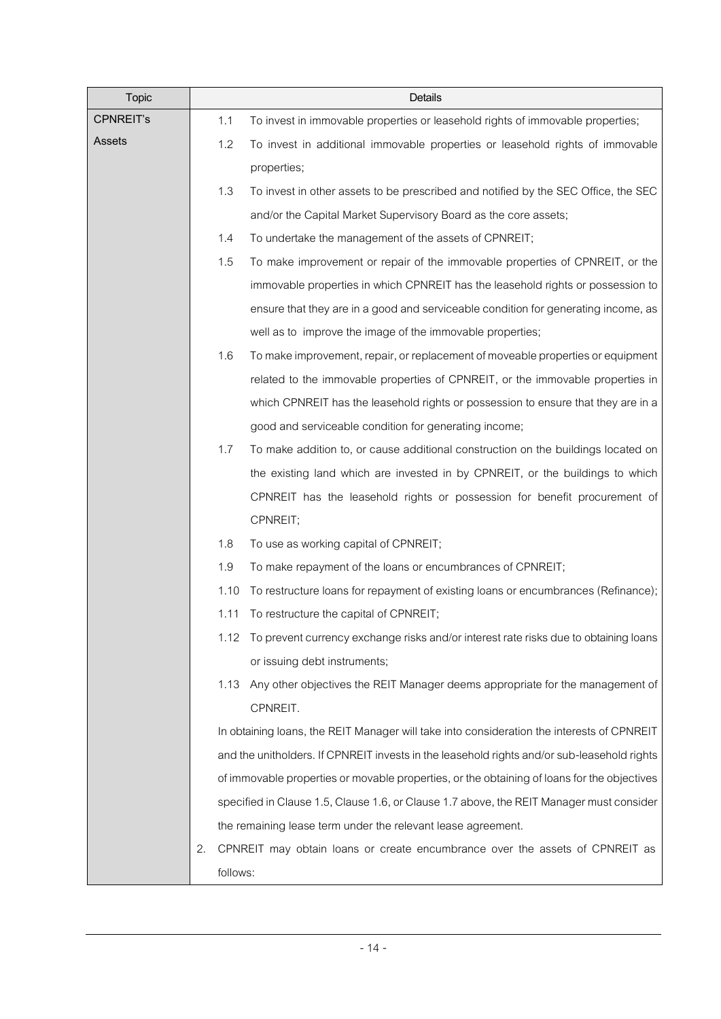| <b>Topic</b>     |          | Details                                                                                     |  |  |
|------------------|----------|---------------------------------------------------------------------------------------------|--|--|
| <b>CPNREIT's</b> | 1.1      | To invest in immovable properties or leasehold rights of immovable properties;              |  |  |
| Assets           | 1.2      | To invest in additional immovable properties or leasehold rights of immovable               |  |  |
|                  |          | properties;                                                                                 |  |  |
|                  | 1.3      | To invest in other assets to be prescribed and notified by the SEC Office, the SEC          |  |  |
|                  |          | and/or the Capital Market Supervisory Board as the core assets;                             |  |  |
|                  | 1.4      | To undertake the management of the assets of CPNREIT;                                       |  |  |
|                  | 1.5      | To make improvement or repair of the immovable properties of CPNREIT, or the                |  |  |
|                  |          | immovable properties in which CPNREIT has the leasehold rights or possession to             |  |  |
|                  |          | ensure that they are in a good and serviceable condition for generating income, as          |  |  |
|                  |          | well as to improve the image of the immovable properties;                                   |  |  |
|                  | 1.6      | To make improvement, repair, or replacement of moveable properties or equipment             |  |  |
|                  |          | related to the immovable properties of CPNREIT, or the immovable properties in              |  |  |
|                  |          | which CPNREIT has the leasehold rights or possession to ensure that they are in a           |  |  |
|                  |          | good and serviceable condition for generating income;                                       |  |  |
|                  | 1.7      | To make addition to, or cause additional construction on the buildings located on           |  |  |
|                  |          | the existing land which are invested in by CPNREIT, or the buildings to which               |  |  |
|                  |          | CPNREIT has the leasehold rights or possession for benefit procurement of                   |  |  |
|                  |          | CPNREIT;                                                                                    |  |  |
|                  | 1.8      | To use as working capital of CPNREIT;                                                       |  |  |
|                  | 1.9      | To make repayment of the loans or encumbrances of CPNREIT;                                  |  |  |
|                  | 1.10     | To restructure loans for repayment of existing loans or encumbrances (Refinance);           |  |  |
|                  | 1.11     | To restructure the capital of CPNREIT;                                                      |  |  |
|                  |          | 1.12 To prevent currency exchange risks and/or interest rate risks due to obtaining loans   |  |  |
|                  |          | or issuing debt instruments;                                                                |  |  |
|                  | 1.13     | Any other objectives the REIT Manager deems appropriate for the management of               |  |  |
|                  |          | CPNREIT.                                                                                    |  |  |
|                  |          | In obtaining loans, the REIT Manager will take into consideration the interests of CPNREIT  |  |  |
|                  |          | and the unitholders. If CPNREIT invests in the leasehold rights and/or sub-leasehold rights |  |  |
|                  |          | of immovable properties or movable properties, or the obtaining of loans for the objectives |  |  |
|                  |          | specified in Clause 1.5, Clause 1.6, or Clause 1.7 above, the REIT Manager must consider    |  |  |
|                  |          | the remaining lease term under the relevant lease agreement.                                |  |  |
|                  | 2.       | CPNREIT may obtain loans or create encumbrance over the assets of CPNREIT as                |  |  |
|                  | follows: |                                                                                             |  |  |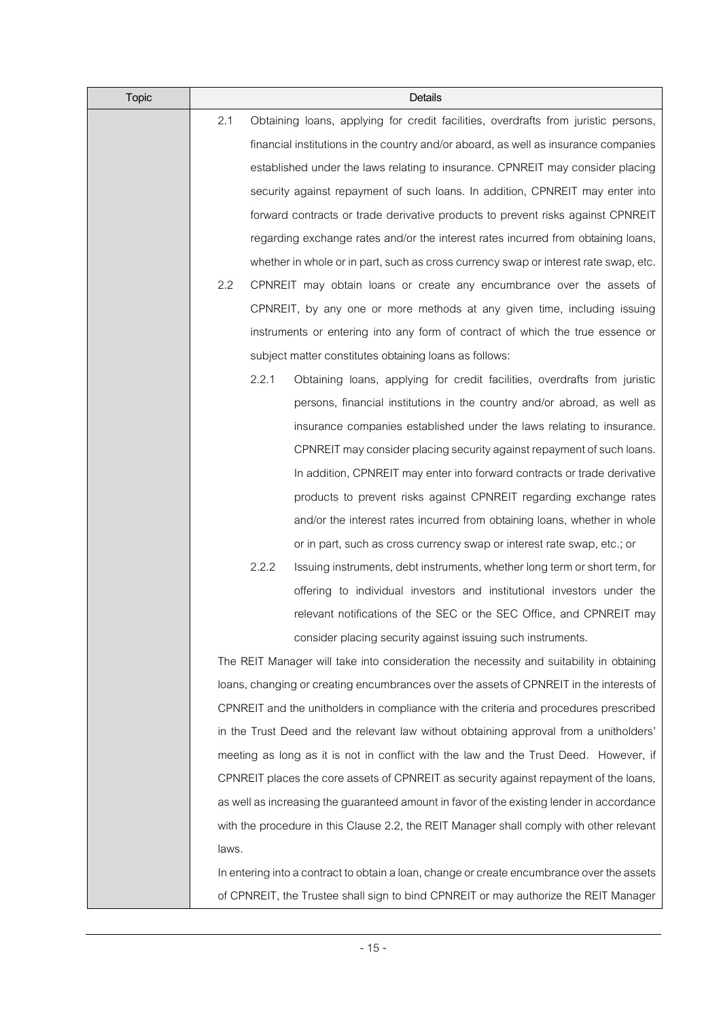| Topic |       | Details                                                                                    |
|-------|-------|--------------------------------------------------------------------------------------------|
|       | 2.1   | Obtaining loans, applying for credit facilities, overdrafts from juristic persons,         |
|       |       | financial institutions in the country and/or aboard, as well as insurance companies        |
|       |       | established under the laws relating to insurance. CPNREIT may consider placing             |
|       |       | security against repayment of such loans. In addition, CPNREIT may enter into              |
|       |       | forward contracts or trade derivative products to prevent risks against CPNREIT            |
|       |       | regarding exchange rates and/or the interest rates incurred from obtaining loans,          |
|       |       | whether in whole or in part, such as cross currency swap or interest rate swap, etc.       |
|       | 2.2   | CPNREIT may obtain loans or create any encumbrance over the assets of                      |
|       |       | CPNREIT, by any one or more methods at any given time, including issuing                   |
|       |       | instruments or entering into any form of contract of which the true essence or             |
|       |       | subject matter constitutes obtaining loans as follows:                                     |
|       |       | 2.2.1<br>Obtaining loans, applying for credit facilities, overdrafts from juristic         |
|       |       | persons, financial institutions in the country and/or abroad, as well as                   |
|       |       | insurance companies established under the laws relating to insurance.                      |
|       |       | CPNREIT may consider placing security against repayment of such loans.                     |
|       |       | In addition, CPNREIT may enter into forward contracts or trade derivative                  |
|       |       | products to prevent risks against CPNREIT regarding exchange rates                         |
|       |       | and/or the interest rates incurred from obtaining loans, whether in whole                  |
|       |       | or in part, such as cross currency swap or interest rate swap, etc.; or                    |
|       |       | 2.2.2<br>Issuing instruments, debt instruments, whether long term or short term, for       |
|       |       | offering to individual investors and institutional investors under the                     |
|       |       | relevant notifications of the SEC or the SEC Office, and CPNREIT may                       |
|       |       | consider placing security against issuing such instruments.                                |
|       |       | The REIT Manager will take into consideration the necessity and suitability in obtaining   |
|       |       | loans, changing or creating encumbrances over the assets of CPNREIT in the interests of    |
|       |       | CPNREIT and the unitholders in compliance with the criteria and procedures prescribed      |
|       |       | in the Trust Deed and the relevant law without obtaining approval from a unitholders'      |
|       |       | meeting as long as it is not in conflict with the law and the Trust Deed. However, if      |
|       |       | CPNREIT places the core assets of CPNREIT as security against repayment of the loans,      |
|       |       | as well as increasing the guaranteed amount in favor of the existing lender in accordance  |
|       |       | with the procedure in this Clause 2.2, the REIT Manager shall comply with other relevant   |
|       | laws. |                                                                                            |
|       |       | In entering into a contract to obtain a loan, change or create encumbrance over the assets |
|       |       | of CPNREIT, the Trustee shall sign to bind CPNREIT or may authorize the REIT Manager       |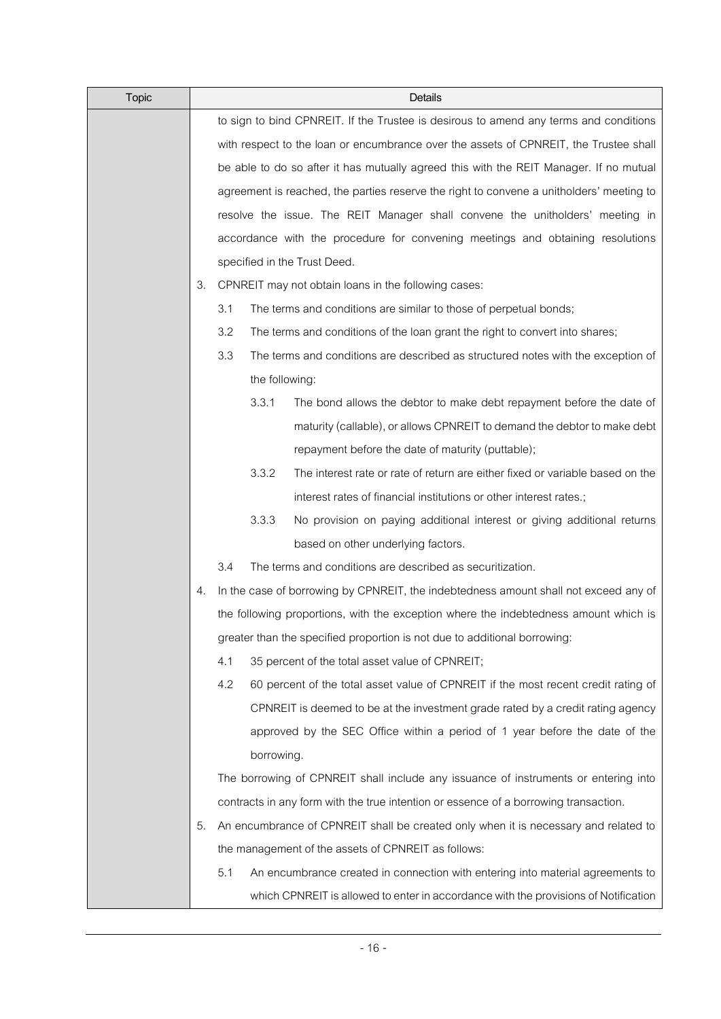| <b>Topic</b> | Details |     |                |                                                                                          |
|--------------|---------|-----|----------------|------------------------------------------------------------------------------------------|
|              |         |     |                | to sign to bind CPNREIT. If the Trustee is desirous to amend any terms and conditions    |
|              |         |     |                | with respect to the loan or encumbrance over the assets of CPNREIT, the Trustee shall    |
|              |         |     |                | be able to do so after it has mutually agreed this with the REIT Manager. If no mutual   |
|              |         |     |                | agreement is reached, the parties reserve the right to convene a unitholders' meeting to |
|              |         |     |                | resolve the issue. The REIT Manager shall convene the unitholders' meeting in            |
|              |         |     |                | accordance with the procedure for convening meetings and obtaining resolutions           |
|              |         |     |                | specified in the Trust Deed.                                                             |
|              | 3.      |     |                | CPNREIT may not obtain loans in the following cases:                                     |
|              |         | 3.1 |                | The terms and conditions are similar to those of perpetual bonds;                        |
|              |         | 3.2 |                | The terms and conditions of the loan grant the right to convert into shares;             |
|              |         | 3.3 |                | The terms and conditions are described as structured notes with the exception of         |
|              |         |     | the following: |                                                                                          |
|              |         |     | 3.3.1          | The bond allows the debtor to make debt repayment before the date of                     |
|              |         |     |                | maturity (callable), or allows CPNREIT to demand the debtor to make debt                 |
|              |         |     |                | repayment before the date of maturity (puttable);                                        |
|              |         |     | 3.3.2          | The interest rate or rate of return are either fixed or variable based on the            |
|              |         |     |                | interest rates of financial institutions or other interest rates.;                       |
|              |         |     | 3.3.3          | No provision on paying additional interest or giving additional returns                  |
|              |         |     |                | based on other underlying factors.                                                       |
|              |         | 3.4 |                | The terms and conditions are described as securitization.                                |
|              | 4.      |     |                | In the case of borrowing by CPNREIT, the indebtedness amount shall not exceed any of     |
|              |         |     |                | the following proportions, with the exception where the indebtedness amount which is     |
|              |         |     |                | greater than the specified proportion is not due to additional borrowing:                |
|              |         | 4.1 |                | 35 percent of the total asset value of CPNREIT;                                          |
|              |         | 4.2 |                | 60 percent of the total asset value of CPNREIT if the most recent credit rating of       |
|              |         |     |                | CPNREIT is deemed to be at the investment grade rated by a credit rating agency          |
|              |         |     |                | approved by the SEC Office within a period of 1 year before the date of the              |
|              |         |     | borrowing.     |                                                                                          |
|              |         |     |                | The borrowing of CPNREIT shall include any issuance of instruments or entering into      |
|              |         |     |                | contracts in any form with the true intention or essence of a borrowing transaction.     |
|              | 5.      |     |                | An encumbrance of CPNREIT shall be created only when it is necessary and related to      |
|              |         |     |                | the management of the assets of CPNREIT as follows:                                      |
|              |         | 5.1 |                | An encumbrance created in connection with entering into material agreements to           |
|              |         |     |                | which CPNREIT is allowed to enter in accordance with the provisions of Notification      |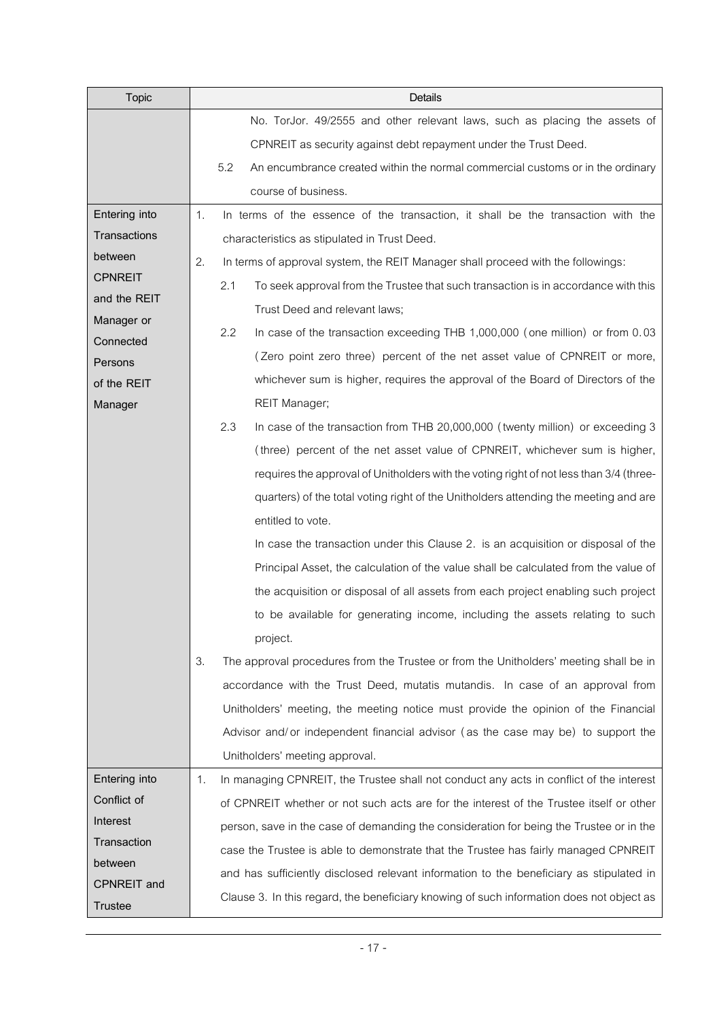| <b>Topic</b>                         | Details                                                                                       |
|--------------------------------------|-----------------------------------------------------------------------------------------------|
|                                      | No. TorJor. 49/2555 and other relevant laws, such as placing the assets of                    |
|                                      | CPNREIT as security against debt repayment under the Trust Deed.                              |
|                                      | 5.2<br>An encumbrance created within the normal commercial customs or in the ordinary         |
|                                      | course of business.                                                                           |
| Entering into                        | 1.<br>In terms of the essence of the transaction, it shall be the transaction with the        |
| Transactions                         | characteristics as stipulated in Trust Deed.                                                  |
| between                              | 2.<br>In terms of approval system, the REIT Manager shall proceed with the followings:        |
| <b>CPNREIT</b>                       | 2.1<br>To seek approval from the Trustee that such transaction is in accordance with this     |
| and the REIT                         | Trust Deed and relevant laws;                                                                 |
| Manager or<br>Connected              | 2.2<br>In case of the transaction exceeding THB 1,000,000 (one million) or from 0.03          |
| Persons                              | (Zero point zero three) percent of the net asset value of CPNREIT or more,                    |
| of the REIT                          | whichever sum is higher, requires the approval of the Board of Directors of the               |
| Manager                              | <b>REIT Manager;</b>                                                                          |
|                                      | 2.3<br>In case of the transaction from THB 20,000,000 (twenty million) or exceeding 3         |
|                                      | (three) percent of the net asset value of CPNREIT, whichever sum is higher,                   |
|                                      | requires the approval of Unitholders with the voting right of not less than 3/4 (three-       |
|                                      | quarters) of the total voting right of the Unitholders attending the meeting and are          |
|                                      | entitled to vote.                                                                             |
|                                      | In case the transaction under this Clause 2. is an acquisition or disposal of the             |
|                                      | Principal Asset, the calculation of the value shall be calculated from the value of           |
|                                      | the acquisition or disposal of all assets from each project enabling such project             |
|                                      | to be available for generating income, including the assets relating to such                  |
|                                      | project.                                                                                      |
|                                      | 3.<br>The approval procedures from the Trustee or from the Unitholders' meeting shall be in   |
|                                      | accordance with the Trust Deed, mutatis mutandis. In case of an approval from                 |
|                                      | Unitholders' meeting, the meeting notice must provide the opinion of the Financial            |
|                                      | Advisor and/or independent financial advisor (as the case may be) to support the              |
|                                      | Unitholders' meeting approval.                                                                |
| Entering into                        | In managing CPNREIT, the Trustee shall not conduct any acts in conflict of the interest<br>1. |
| Conflict of                          | of CPNREIT whether or not such acts are for the interest of the Trustee itself or other       |
| Interest                             | person, save in the case of demanding the consideration for being the Trustee or in the       |
| Transaction                          | case the Trustee is able to demonstrate that the Trustee has fairly managed CPNREIT           |
| between                              | and has sufficiently disclosed relevant information to the beneficiary as stipulated in       |
|                                      | Clause 3. In this regard, the beneficiary knowing of such information does not object as      |
| <b>CPNREIT</b> and<br><b>Trustee</b> |                                                                                               |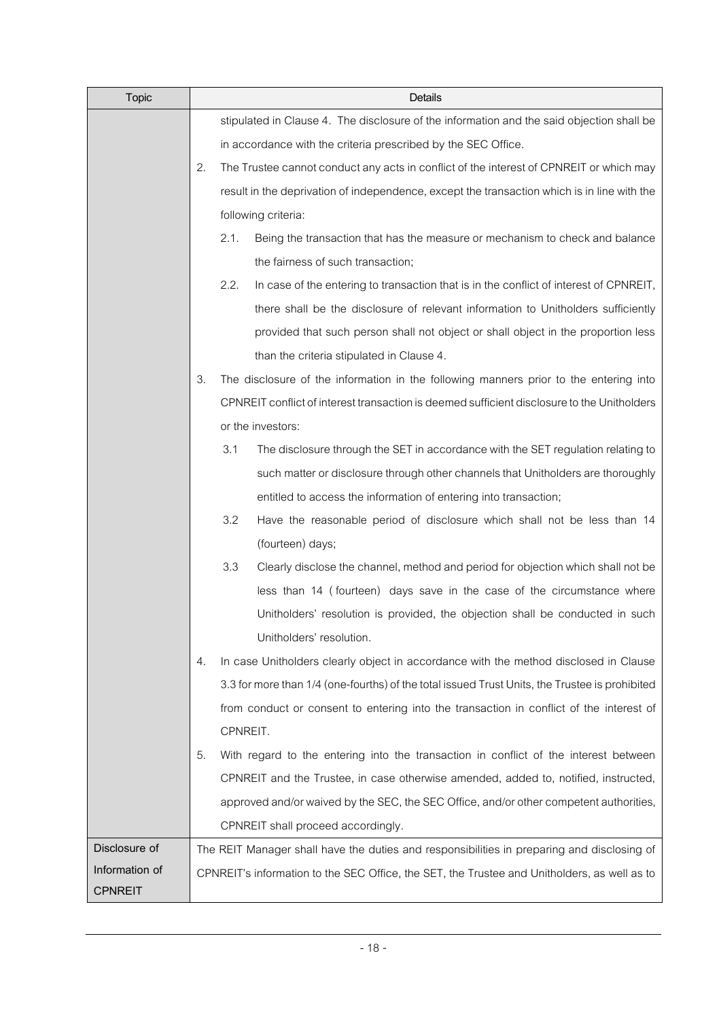| <b>Topic</b>   |    |          | Details                                                                                        |
|----------------|----|----------|------------------------------------------------------------------------------------------------|
|                |    |          | stipulated in Clause 4. The disclosure of the information and the said objection shall be      |
|                |    |          | in accordance with the criteria prescribed by the SEC Office.                                  |
|                | 2. |          | The Trustee cannot conduct any acts in conflict of the interest of CPNREIT or which may        |
|                |    |          | result in the deprivation of independence, except the transaction which is in line with the    |
|                |    |          | following criteria:                                                                            |
|                |    | 2.1.     | Being the transaction that has the measure or mechanism to check and balance                   |
|                |    |          | the fairness of such transaction;                                                              |
|                |    | 2.2.     | In case of the entering to transaction that is in the conflict of interest of CPNREIT,         |
|                |    |          | there shall be the disclosure of relevant information to Unitholders sufficiently              |
|                |    |          | provided that such person shall not object or shall object in the proportion less              |
|                |    |          | than the criteria stipulated in Clause 4.                                                      |
|                | 3. |          | The disclosure of the information in the following manners prior to the entering into          |
|                |    |          | CPNREIT conflict of interest transaction is deemed sufficient disclosure to the Unitholders    |
|                |    |          | or the investors:                                                                              |
|                |    | 3.1      | The disclosure through the SET in accordance with the SET regulation relating to               |
|                |    |          | such matter or disclosure through other channels that Unitholders are thoroughly               |
|                |    |          | entitled to access the information of entering into transaction;                               |
|                |    | 3.2      | Have the reasonable period of disclosure which shall not be less than 14                       |
|                |    |          | (fourteen) days;                                                                               |
|                |    | 3.3      | Clearly disclose the channel, method and period for objection which shall not be               |
|                |    |          | less than 14 (fourteen) days save in the case of the circumstance where                        |
|                |    |          | Unitholders' resolution is provided, the objection shall be conducted in such                  |
|                |    |          | Unitholders' resolution.                                                                       |
|                | 4. |          | In case Unitholders clearly object in accordance with the method disclosed in Clause           |
|                |    |          | 3.3 for more than 1/4 (one-fourths) of the total issued Trust Units, the Trustee is prohibited |
|                |    |          | from conduct or consent to entering into the transaction in conflict of the interest of        |
|                |    | CPNREIT. |                                                                                                |
|                | 5. |          | With regard to the entering into the transaction in conflict of the interest between           |
|                |    |          | CPNREIT and the Trustee, in case otherwise amended, added to, notified, instructed,            |
|                |    |          | approved and/or waived by the SEC, the SEC Office, and/or other competent authorities,         |
|                |    |          | CPNREIT shall proceed accordingly.                                                             |
| Disclosure of  |    |          | The REIT Manager shall have the duties and responsibilities in preparing and disclosing of     |
| Information of |    |          | CPNREIT's information to the SEC Office, the SET, the Trustee and Unitholders, as well as to   |
| <b>CPNREIT</b> |    |          |                                                                                                |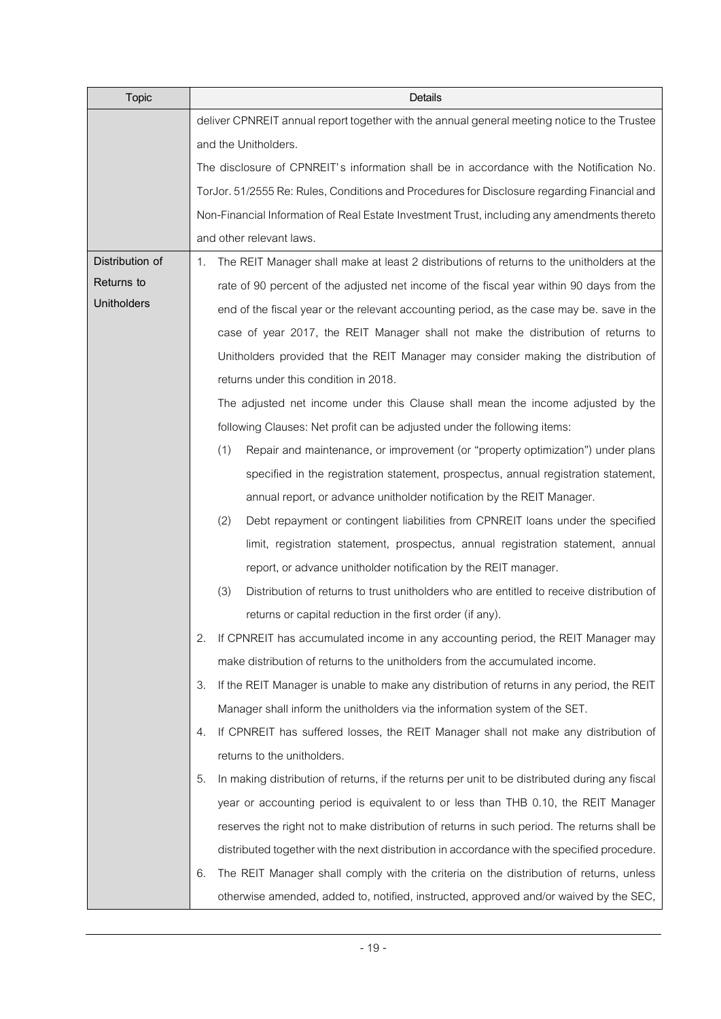| <b>Topic</b>       | Details                                                                                              |  |  |  |  |
|--------------------|------------------------------------------------------------------------------------------------------|--|--|--|--|
|                    | deliver CPNREIT annual report together with the annual general meeting notice to the Trustee         |  |  |  |  |
|                    | and the Unitholders.                                                                                 |  |  |  |  |
|                    | The disclosure of CPNREIT's information shall be in accordance with the Notification No.             |  |  |  |  |
|                    | TorJor. 51/2555 Re: Rules, Conditions and Procedures for Disclosure regarding Financial and          |  |  |  |  |
|                    | Non-Financial Information of Real Estate Investment Trust, including any amendments thereto          |  |  |  |  |
|                    | and other relevant laws.                                                                             |  |  |  |  |
| Distribution of    | The REIT Manager shall make at least 2 distributions of returns to the unitholders at the<br>1.      |  |  |  |  |
| Returns to         | rate of 90 percent of the adjusted net income of the fiscal year within 90 days from the             |  |  |  |  |
| <b>Unitholders</b> | end of the fiscal year or the relevant accounting period, as the case may be. save in the            |  |  |  |  |
|                    | case of year 2017, the REIT Manager shall not make the distribution of returns to                    |  |  |  |  |
|                    | Unitholders provided that the REIT Manager may consider making the distribution of                   |  |  |  |  |
|                    | returns under this condition in 2018.                                                                |  |  |  |  |
|                    | The adjusted net income under this Clause shall mean the income adjusted by the                      |  |  |  |  |
|                    | following Clauses: Net profit can be adjusted under the following items:                             |  |  |  |  |
|                    | (1)<br>Repair and maintenance, or improvement (or "property optimization") under plans               |  |  |  |  |
|                    | specified in the registration statement, prospectus, annual registration statement,                  |  |  |  |  |
|                    | annual report, or advance unitholder notification by the REIT Manager.                               |  |  |  |  |
|                    | (2)<br>Debt repayment or contingent liabilities from CPNREIT loans under the specified               |  |  |  |  |
|                    | limit, registration statement, prospectus, annual registration statement, annual                     |  |  |  |  |
|                    | report, or advance unitholder notification by the REIT manager.                                      |  |  |  |  |
|                    | (3)<br>Distribution of returns to trust unitholders who are entitled to receive distribution of      |  |  |  |  |
|                    | returns or capital reduction in the first order (if any).                                            |  |  |  |  |
|                    | If CPNREIT has accumulated income in any accounting period, the REIT Manager may<br>2.               |  |  |  |  |
|                    | make distribution of returns to the unitholders from the accumulated income.                         |  |  |  |  |
|                    | If the REIT Manager is unable to make any distribution of returns in any period, the REIT<br>З.      |  |  |  |  |
|                    | Manager shall inform the unitholders via the information system of the SET.                          |  |  |  |  |
|                    | If CPNREIT has suffered losses, the REIT Manager shall not make any distribution of<br>4.            |  |  |  |  |
|                    | returns to the unitholders.                                                                          |  |  |  |  |
|                    | In making distribution of returns, if the returns per unit to be distributed during any fiscal<br>5. |  |  |  |  |
|                    | year or accounting period is equivalent to or less than THB 0.10, the REIT Manager                   |  |  |  |  |
|                    | reserves the right not to make distribution of returns in such period. The returns shall be          |  |  |  |  |
|                    | distributed together with the next distribution in accordance with the specified procedure.          |  |  |  |  |
|                    | The REIT Manager shall comply with the criteria on the distribution of returns, unless<br>6.         |  |  |  |  |
|                    | otherwise amended, added to, notified, instructed, approved and/or waived by the SEC,                |  |  |  |  |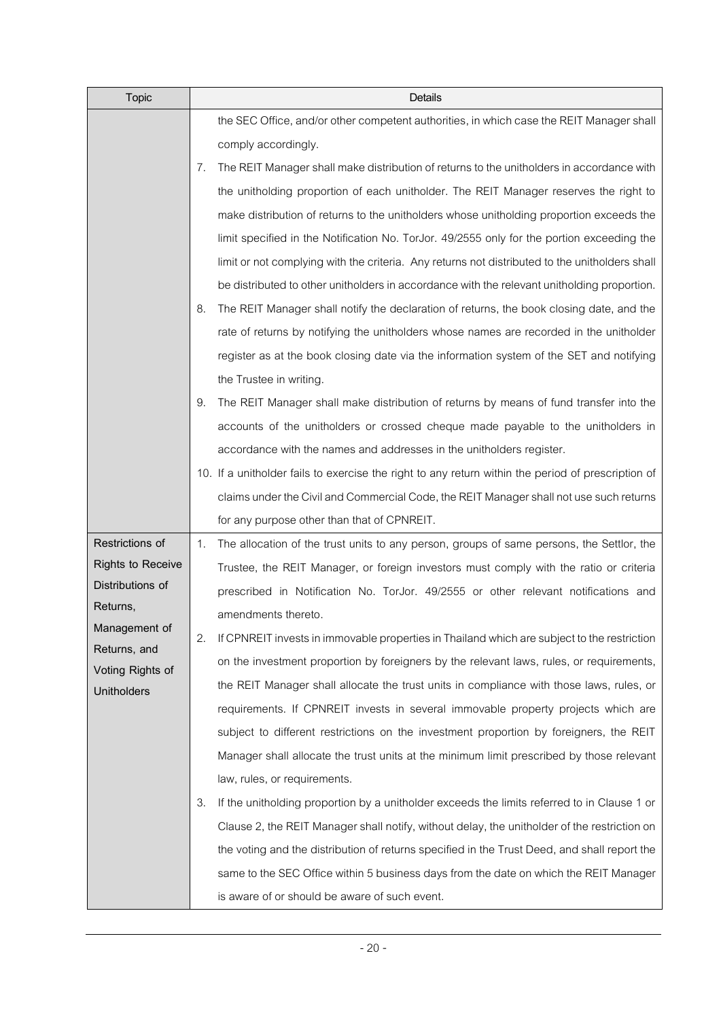| <b>Topic</b>              | Details                                                                                            |
|---------------------------|----------------------------------------------------------------------------------------------------|
|                           | the SEC Office, and/or other competent authorities, in which case the REIT Manager shall           |
|                           | comply accordingly.                                                                                |
|                           | The REIT Manager shall make distribution of returns to the unitholders in accordance with<br>7.    |
|                           | the unitholding proportion of each unitholder. The REIT Manager reserves the right to              |
|                           | make distribution of returns to the unitholders whose unitholding proportion exceeds the           |
|                           | limit specified in the Notification No. TorJor. 49/2555 only for the portion exceeding the         |
|                           | limit or not complying with the criteria. Any returns not distributed to the unitholders shall     |
|                           | be distributed to other unitholders in accordance with the relevant unitholding proportion.        |
|                           | The REIT Manager shall notify the declaration of returns, the book closing date, and the<br>8.     |
|                           | rate of returns by notifying the unitholders whose names are recorded in the unitholder            |
|                           | register as at the book closing date via the information system of the SET and notifying           |
|                           | the Trustee in writing.                                                                            |
|                           | The REIT Manager shall make distribution of returns by means of fund transfer into the<br>9.       |
|                           | accounts of the unitholders or crossed cheque made payable to the unitholders in                   |
|                           | accordance with the names and addresses in the unitholders register.                               |
|                           | 10. If a unitholder fails to exercise the right to any return within the period of prescription of |
|                           | claims under the Civil and Commercial Code, the REIT Manager shall not use such returns            |
|                           | for any purpose other than that of CPNREIT.                                                        |
| Restrictions of           | The allocation of the trust units to any person, groups of same persons, the Settlor, the<br>1.    |
| <b>Rights to Receive</b>  | Trustee, the REIT Manager, or foreign investors must comply with the ratio or criteria             |
| Distributions of          | prescribed in Notification No. TorJor. 49/2555 or other relevant notifications and                 |
| Returns,<br>Management of | amendments thereto.                                                                                |
| Returns, and              | If CPNREIT invests in immovable properties in Thailand which are subject to the restriction<br>2.  |
| Voting Rights of          | on the investment proportion by foreigners by the relevant laws, rules, or requirements,           |
| <b>Unitholders</b>        | the REIT Manager shall allocate the trust units in compliance with those laws, rules, or           |
|                           | requirements. If CPNREIT invests in several immovable property projects which are                  |
|                           | subject to different restrictions on the investment proportion by foreigners, the REIT             |
|                           | Manager shall allocate the trust units at the minimum limit prescribed by those relevant           |
|                           | law, rules, or requirements.                                                                       |
|                           | If the unitholding proportion by a unitholder exceeds the limits referred to in Clause 1 or<br>3.  |
|                           | Clause 2, the REIT Manager shall notify, without delay, the unitholder of the restriction on       |
|                           | the voting and the distribution of returns specified in the Trust Deed, and shall report the       |
|                           | same to the SEC Office within 5 business days from the date on which the REIT Manager              |
|                           | is aware of or should be aware of such event.                                                      |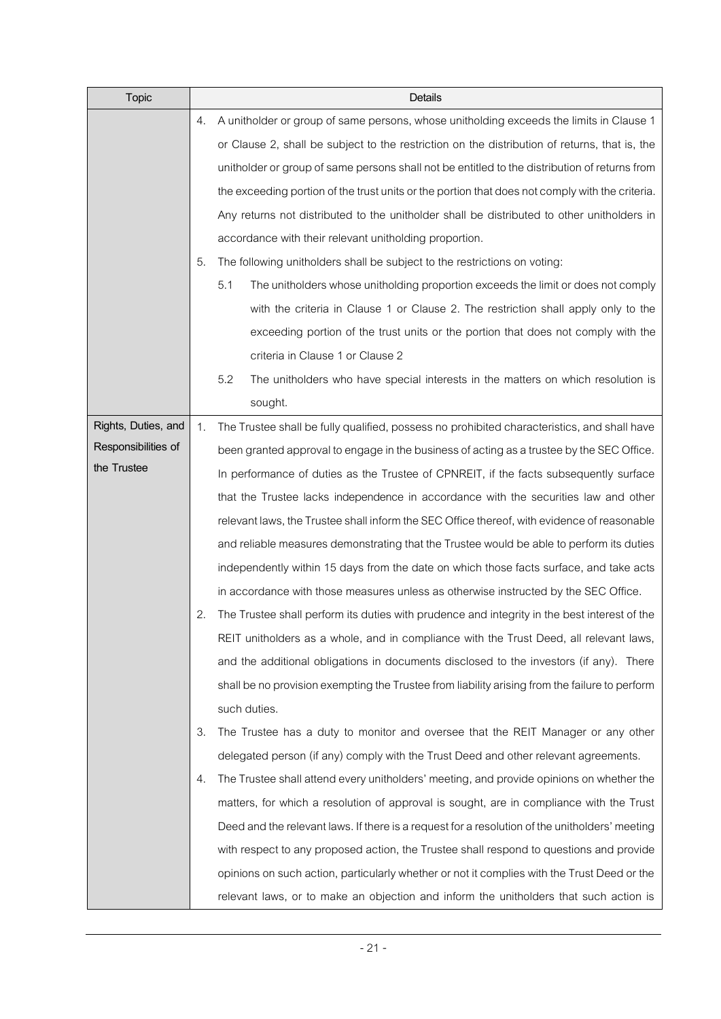| <b>Topic</b>        |    | Details                                                                                         |  |  |
|---------------------|----|-------------------------------------------------------------------------------------------------|--|--|
|                     | 4. | A unitholder or group of same persons, whose unitholding exceeds the limits in Clause 1         |  |  |
|                     |    | or Clause 2, shall be subject to the restriction on the distribution of returns, that is, the   |  |  |
|                     |    | unitholder or group of same persons shall not be entitled to the distribution of returns from   |  |  |
|                     |    | the exceeding portion of the trust units or the portion that does not comply with the criteria. |  |  |
|                     |    | Any returns not distributed to the unitholder shall be distributed to other unitholders in      |  |  |
|                     |    | accordance with their relevant unitholding proportion.                                          |  |  |
|                     | 5. | The following unitholders shall be subject to the restrictions on voting:                       |  |  |
|                     |    | 5.1<br>The unitholders whose unitholding proportion exceeds the limit or does not comply        |  |  |
|                     |    | with the criteria in Clause 1 or Clause 2. The restriction shall apply only to the              |  |  |
|                     |    | exceeding portion of the trust units or the portion that does not comply with the               |  |  |
|                     |    | criteria in Clause 1 or Clause 2                                                                |  |  |
|                     |    | 5.2<br>The unitholders who have special interests in the matters on which resolution is         |  |  |
|                     |    | sought.                                                                                         |  |  |
| Rights, Duties, and | 1. | The Trustee shall be fully qualified, possess no prohibited characteristics, and shall have     |  |  |
| Responsibilities of |    | been granted approval to engage in the business of acting as a trustee by the SEC Office.       |  |  |
| the Trustee         |    | In performance of duties as the Trustee of CPNREIT, if the facts subsequently surface           |  |  |
|                     |    | that the Trustee lacks independence in accordance with the securities law and other             |  |  |
|                     |    | relevant laws, the Trustee shall inform the SEC Office thereof, with evidence of reasonable     |  |  |
|                     |    | and reliable measures demonstrating that the Trustee would be able to perform its duties        |  |  |
|                     |    | independently within 15 days from the date on which those facts surface, and take acts          |  |  |
|                     |    | in accordance with those measures unless as otherwise instructed by the SEC Office.             |  |  |
|                     | 2. | The Trustee shall perform its duties with prudence and integrity in the best interest of the    |  |  |
|                     |    | REIT unitholders as a whole, and in compliance with the Trust Deed, all relevant laws,          |  |  |
|                     |    | and the additional obligations in documents disclosed to the investors (if any). There          |  |  |
|                     |    | shall be no provision exempting the Trustee from liability arising from the failure to perform  |  |  |
|                     |    | such duties.                                                                                    |  |  |
|                     | 3. | The Trustee has a duty to monitor and oversee that the REIT Manager or any other                |  |  |
|                     |    | delegated person (if any) comply with the Trust Deed and other relevant agreements.             |  |  |
|                     | 4. | The Trustee shall attend every unitholders' meeting, and provide opinions on whether the        |  |  |
|                     |    | matters, for which a resolution of approval is sought, are in compliance with the Trust         |  |  |
|                     |    | Deed and the relevant laws. If there is a request for a resolution of the unitholders' meeting  |  |  |
|                     |    | with respect to any proposed action, the Trustee shall respond to questions and provide         |  |  |
|                     |    | opinions on such action, particularly whether or not it complies with the Trust Deed or the     |  |  |
|                     |    | relevant laws, or to make an objection and inform the unitholders that such action is           |  |  |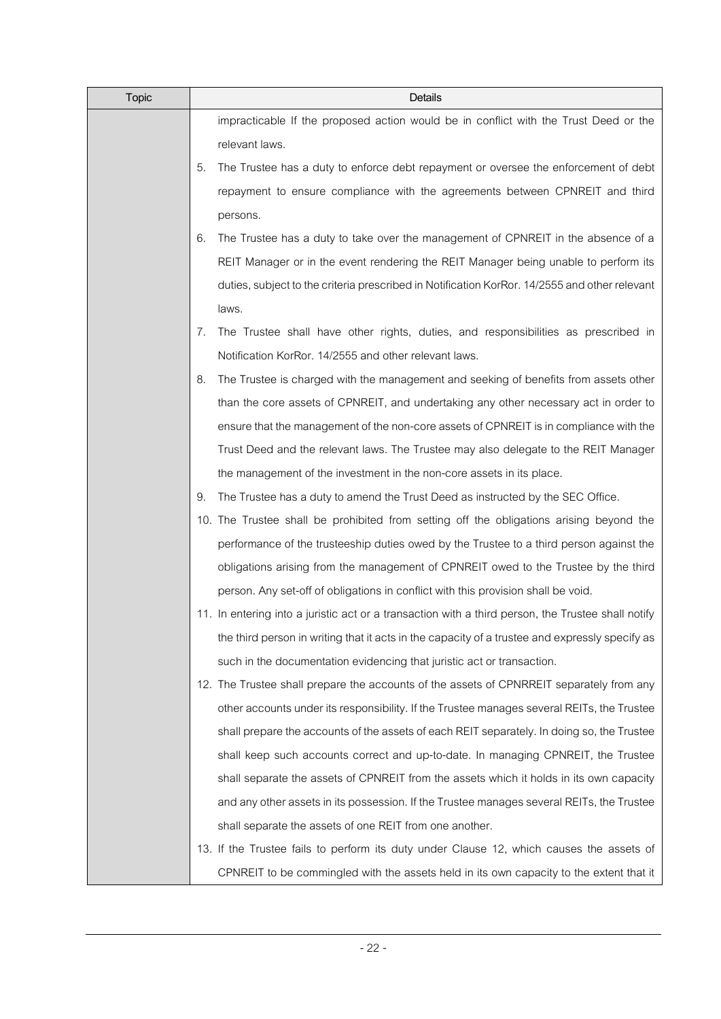| <b>Topic</b> | Details                                                                                            |
|--------------|----------------------------------------------------------------------------------------------------|
|              | impracticable If the proposed action would be in conflict with the Trust Deed or the               |
|              | relevant laws.                                                                                     |
|              | 5.<br>The Trustee has a duty to enforce debt repayment or oversee the enforcement of debt          |
|              | repayment to ensure compliance with the agreements between CPNREIT and third                       |
|              | persons.                                                                                           |
|              | The Trustee has a duty to take over the management of CPNREIT in the absence of a<br>6.            |
|              | REIT Manager or in the event rendering the REIT Manager being unable to perform its                |
|              | duties, subject to the criteria prescribed in Notification KorRor. 14/2555 and other relevant      |
|              | laws.                                                                                              |
|              | The Trustee shall have other rights, duties, and responsibilities as prescribed in<br>7.           |
|              | Notification KorRor. 14/2555 and other relevant laws.                                              |
|              | 8.<br>The Trustee is charged with the management and seeking of benefits from assets other         |
|              | than the core assets of CPNREIT, and undertaking any other necessary act in order to               |
|              | ensure that the management of the non-core assets of CPNREIT is in compliance with the             |
|              | Trust Deed and the relevant laws. The Trustee may also delegate to the REIT Manager                |
|              | the management of the investment in the non-core assets in its place.                              |
|              | The Trustee has a duty to amend the Trust Deed as instructed by the SEC Office.<br>9.              |
|              | 10. The Trustee shall be prohibited from setting off the obligations arising beyond the            |
|              | performance of the trusteeship duties owed by the Trustee to a third person against the            |
|              | obligations arising from the management of CPNREIT owed to the Trustee by the third                |
|              | person. Any set-off of obligations in conflict with this provision shall be void.                  |
|              | 11. In entering into a juristic act or a transaction with a third person, the Trustee shall notify |
|              | the third person in writing that it acts in the capacity of a trustee and expressly specify as     |
|              | such in the documentation evidencing that juristic act or transaction.                             |
|              | 12. The Trustee shall prepare the accounts of the assets of CPNRREIT separately from any           |
|              | other accounts under its responsibility. If the Trustee manages several REITs, the Trustee         |
|              | shall prepare the accounts of the assets of each REIT separately. In doing so, the Trustee         |
|              | shall keep such accounts correct and up-to-date. In managing CPNREIT, the Trustee                  |
|              | shall separate the assets of CPNREIT from the assets which it holds in its own capacity            |
|              | and any other assets in its possession. If the Trustee manages several REITs, the Trustee          |
|              | shall separate the assets of one REIT from one another.                                            |
|              | 13. If the Trustee fails to perform its duty under Clause 12, which causes the assets of           |
|              | CPNREIT to be commingled with the assets held in its own capacity to the extent that it            |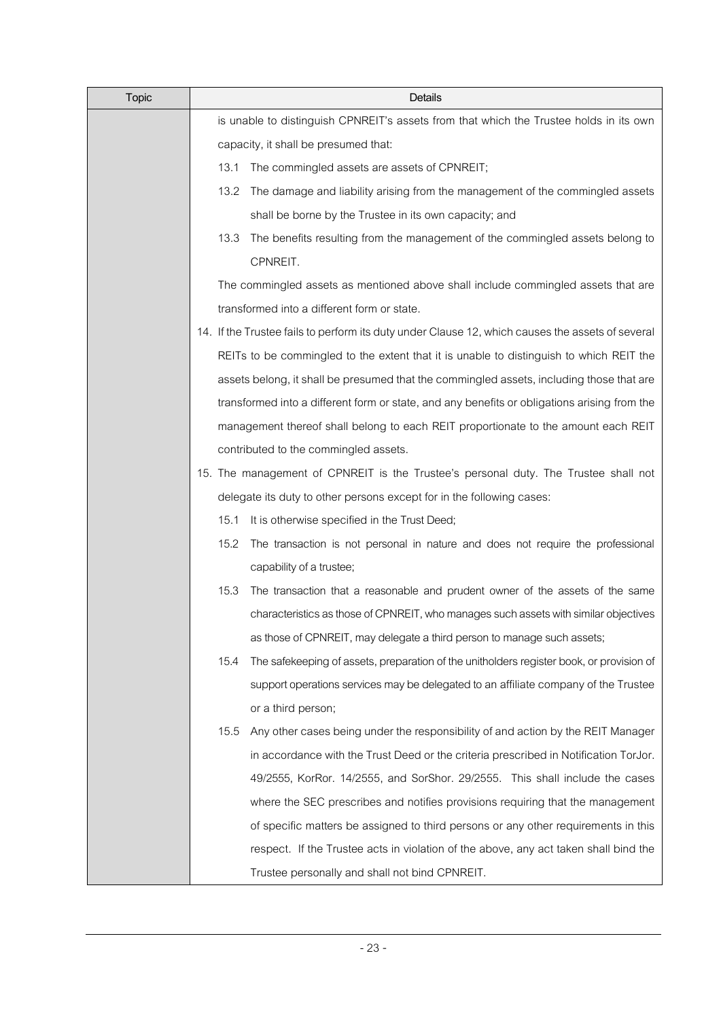| <b>Topic</b> | Details                                                                                          |
|--------------|--------------------------------------------------------------------------------------------------|
|              | is unable to distinguish CPNREIT's assets from that which the Trustee holds in its own           |
|              | capacity, it shall be presumed that:                                                             |
|              | The commingled assets are assets of CPNREIT;<br>13.1                                             |
|              | 13.2<br>The damage and liability arising from the management of the commingled assets            |
|              | shall be borne by the Trustee in its own capacity; and                                           |
|              | 13.3<br>The benefits resulting from the management of the commingled assets belong to            |
|              | CPNREIT.                                                                                         |
|              | The commingled assets as mentioned above shall include commingled assets that are                |
|              | transformed into a different form or state.                                                      |
|              | 14. If the Trustee fails to perform its duty under Clause 12, which causes the assets of several |
|              | REITs to be commingled to the extent that it is unable to distinguish to which REIT the          |
|              | assets belong, it shall be presumed that the commingled assets, including those that are         |
|              | transformed into a different form or state, and any benefits or obligations arising from the     |
|              | management thereof shall belong to each REIT proportionate to the amount each REIT               |
|              | contributed to the commingled assets.                                                            |
|              | 15. The management of CPNREIT is the Trustee's personal duty. The Trustee shall not              |
|              | delegate its duty to other persons except for in the following cases:                            |
|              | 15.1<br>It is otherwise specified in the Trust Deed;                                             |
|              | 15.2<br>The transaction is not personal in nature and does not require the professional          |
|              | capability of a trustee;                                                                         |
|              | 15.3<br>The transaction that a reasonable and prudent owner of the assets of the same            |
|              | characteristics as those of CPNREIT, who manages such assets with similar objectives             |
|              | as those of CPNREIT, may delegate a third person to manage such assets;                          |
|              | 15.4<br>The safekeeping of assets, preparation of the unitholders register book, or provision of |
|              | support operations services may be delegated to an affiliate company of the Trustee              |
|              | or a third person;                                                                               |
|              | Any other cases being under the responsibility of and action by the REIT Manager<br>15.5         |
|              | in accordance with the Trust Deed or the criteria prescribed in Notification TorJor.             |
|              | 49/2555, KorRor. 14/2555, and SorShor. 29/2555. This shall include the cases                     |
|              | where the SEC prescribes and notifies provisions requiring that the management                   |
|              | of specific matters be assigned to third persons or any other requirements in this               |
|              | respect. If the Trustee acts in violation of the above, any act taken shall bind the             |
|              | Trustee personally and shall not bind CPNREIT.                                                   |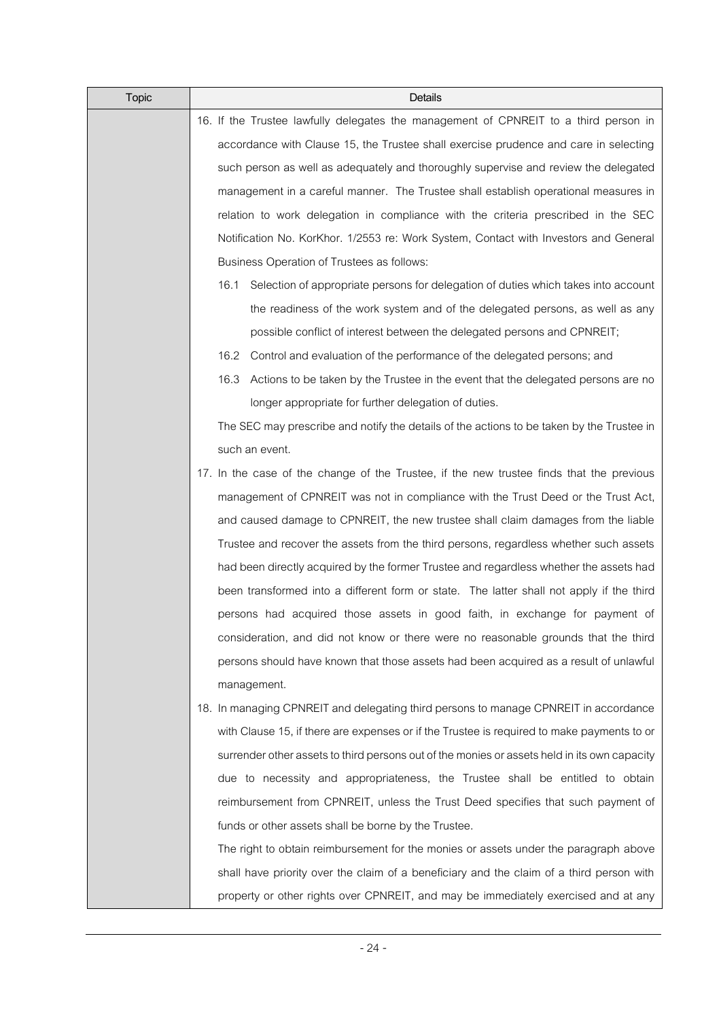| <b>Topic</b> | Details                                                                                      |  |  |
|--------------|----------------------------------------------------------------------------------------------|--|--|
|              | 16. If the Trustee lawfully delegates the management of CPNREIT to a third person in         |  |  |
|              | accordance with Clause 15, the Trustee shall exercise prudence and care in selecting         |  |  |
|              | such person as well as adequately and thoroughly supervise and review the delegated          |  |  |
|              | management in a careful manner. The Trustee shall establish operational measures in          |  |  |
|              | relation to work delegation in compliance with the criteria prescribed in the SEC            |  |  |
|              | Notification No. KorKhor. 1/2553 re: Work System, Contact with Investors and General         |  |  |
|              | Business Operation of Trustees as follows:                                                   |  |  |
|              | Selection of appropriate persons for delegation of duties which takes into account<br>16.1   |  |  |
|              | the readiness of the work system and of the delegated persons, as well as any                |  |  |
|              | possible conflict of interest between the delegated persons and CPNREIT;                     |  |  |
|              | Control and evaluation of the performance of the delegated persons; and<br>16.2              |  |  |
|              | Actions to be taken by the Trustee in the event that the delegated persons are no<br>16.3    |  |  |
|              | longer appropriate for further delegation of duties.                                         |  |  |
|              | The SEC may prescribe and notify the details of the actions to be taken by the Trustee in    |  |  |
|              | such an event.                                                                               |  |  |
|              | 17. In the case of the change of the Trustee, if the new trustee finds that the previous     |  |  |
|              | management of CPNREIT was not in compliance with the Trust Deed or the Trust Act,            |  |  |
|              | and caused damage to CPNREIT, the new trustee shall claim damages from the liable            |  |  |
|              | Trustee and recover the assets from the third persons, regardless whether such assets        |  |  |
|              | had been directly acquired by the former Trustee and regardless whether the assets had       |  |  |
|              | been transformed into a different form or state. The latter shall not apply if the third     |  |  |
|              | persons had acquired those assets in good faith, in exchange for payment of                  |  |  |
|              | consideration, and did not know or there were no reasonable grounds that the third           |  |  |
|              | persons should have known that those assets had been acquired as a result of unlawful        |  |  |
|              | management.                                                                                  |  |  |
|              | 18. In managing CPNREIT and delegating third persons to manage CPNREIT in accordance         |  |  |
|              | with Clause 15, if there are expenses or if the Trustee is required to make payments to or   |  |  |
|              | surrender other assets to third persons out of the monies or assets held in its own capacity |  |  |
|              | due to necessity and appropriateness, the Trustee shall be entitled to obtain                |  |  |
|              | reimbursement from CPNREIT, unless the Trust Deed specifies that such payment of             |  |  |
|              | funds or other assets shall be borne by the Trustee.                                         |  |  |
|              | The right to obtain reimbursement for the monies or assets under the paragraph above         |  |  |
|              | shall have priority over the claim of a beneficiary and the claim of a third person with     |  |  |
|              | property or other rights over CPNREIT, and may be immediately exercised and at any           |  |  |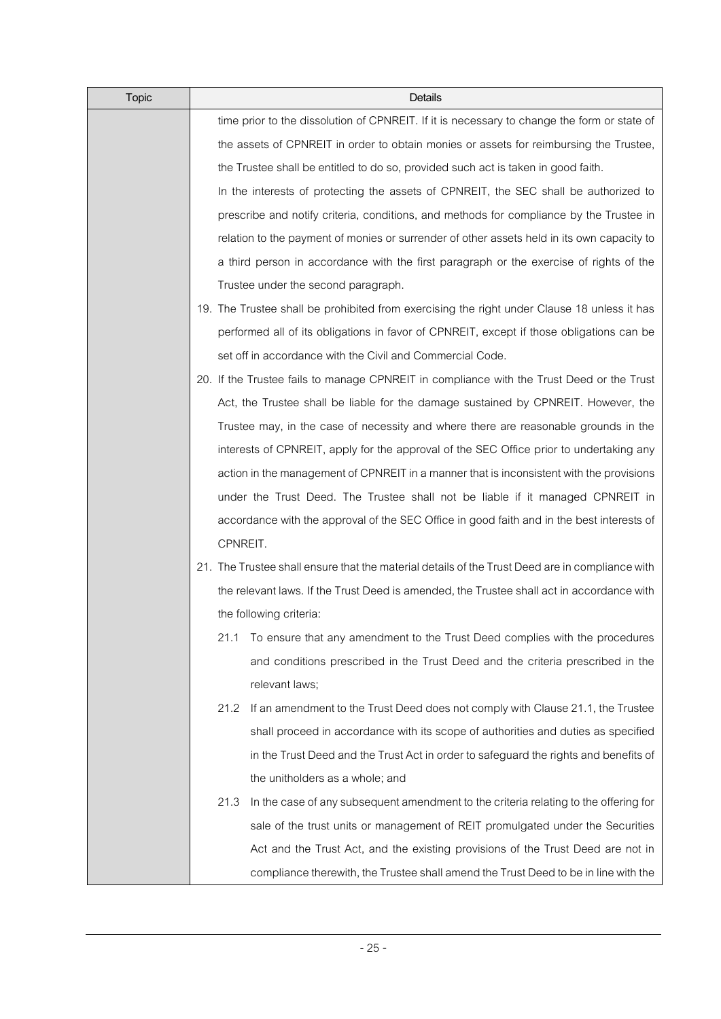| <b>Topic</b> | Details                                                                                         |  |  |  |  |  |
|--------------|-------------------------------------------------------------------------------------------------|--|--|--|--|--|
|              | time prior to the dissolution of CPNREIT. If it is necessary to change the form or state of     |  |  |  |  |  |
|              | the assets of CPNREIT in order to obtain monies or assets for reimbursing the Trustee,          |  |  |  |  |  |
|              | the Trustee shall be entitled to do so, provided such act is taken in good faith.               |  |  |  |  |  |
|              | In the interests of protecting the assets of CPNREIT, the SEC shall be authorized to            |  |  |  |  |  |
|              | prescribe and notify criteria, conditions, and methods for compliance by the Trustee in         |  |  |  |  |  |
|              | relation to the payment of monies or surrender of other assets held in its own capacity to      |  |  |  |  |  |
|              | a third person in accordance with the first paragraph or the exercise of rights of the          |  |  |  |  |  |
|              | Trustee under the second paragraph.                                                             |  |  |  |  |  |
|              | 19. The Trustee shall be prohibited from exercising the right under Clause 18 unless it has     |  |  |  |  |  |
|              | performed all of its obligations in favor of CPNREIT, except if those obligations can be        |  |  |  |  |  |
|              | set off in accordance with the Civil and Commercial Code.                                       |  |  |  |  |  |
|              | 20. If the Trustee fails to manage CPNREIT in compliance with the Trust Deed or the Trust       |  |  |  |  |  |
|              | Act, the Trustee shall be liable for the damage sustained by CPNREIT. However, the              |  |  |  |  |  |
|              | Trustee may, in the case of necessity and where there are reasonable grounds in the             |  |  |  |  |  |
|              | interests of CPNREIT, apply for the approval of the SEC Office prior to undertaking any         |  |  |  |  |  |
|              | action in the management of CPNREIT in a manner that is inconsistent with the provisions        |  |  |  |  |  |
|              | under the Trust Deed. The Trustee shall not be liable if it managed CPNREIT in                  |  |  |  |  |  |
|              | accordance with the approval of the SEC Office in good faith and in the best interests of       |  |  |  |  |  |
|              | CPNREIT.                                                                                        |  |  |  |  |  |
|              | 21. The Trustee shall ensure that the material details of the Trust Deed are in compliance with |  |  |  |  |  |
|              | the relevant laws. If the Trust Deed is amended, the Trustee shall act in accordance with       |  |  |  |  |  |
|              | the following criteria:                                                                         |  |  |  |  |  |
|              | To ensure that any amendment to the Trust Deed complies with the procedures<br>21.1             |  |  |  |  |  |
|              | and conditions prescribed in the Trust Deed and the criteria prescribed in the                  |  |  |  |  |  |
|              | relevant laws;                                                                                  |  |  |  |  |  |
|              | If an amendment to the Trust Deed does not comply with Clause 21.1, the Trustee<br>21.2         |  |  |  |  |  |
|              | shall proceed in accordance with its scope of authorities and duties as specified               |  |  |  |  |  |
|              | in the Trust Deed and the Trust Act in order to safeguard the rights and benefits of            |  |  |  |  |  |
|              | the unitholders as a whole; and                                                                 |  |  |  |  |  |
|              | In the case of any subsequent amendment to the criteria relating to the offering for<br>21.3    |  |  |  |  |  |
|              | sale of the trust units or management of REIT promulgated under the Securities                  |  |  |  |  |  |
|              | Act and the Trust Act, and the existing provisions of the Trust Deed are not in                 |  |  |  |  |  |
|              | compliance therewith, the Trustee shall amend the Trust Deed to be in line with the             |  |  |  |  |  |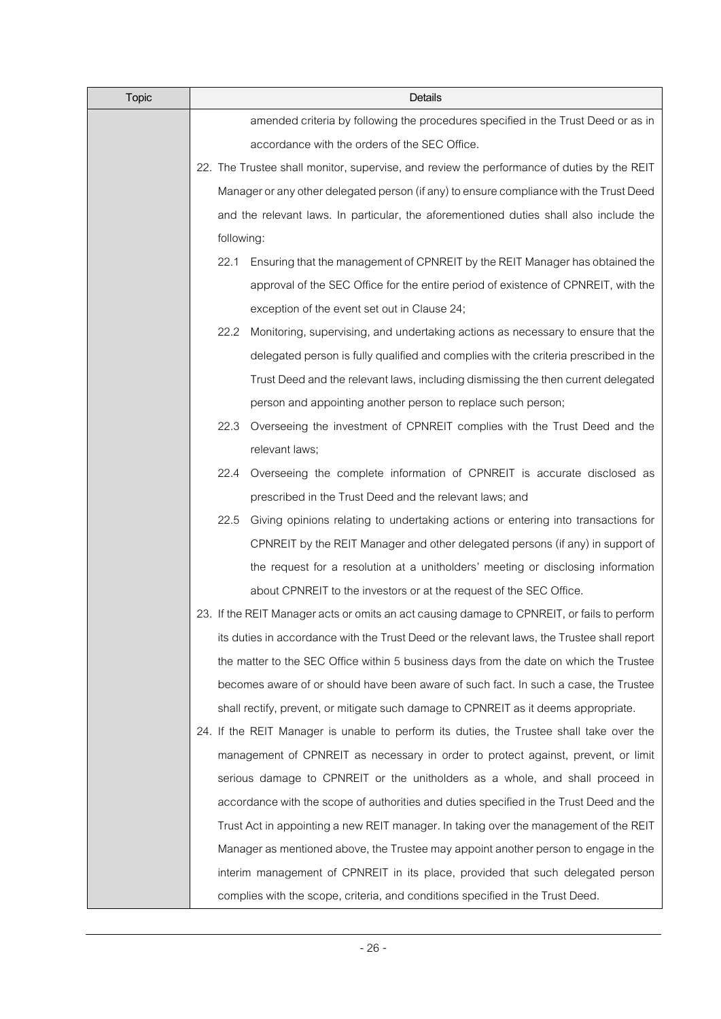| <b>Topic</b> | Details                                                                                     |  |  |  |  |  |
|--------------|---------------------------------------------------------------------------------------------|--|--|--|--|--|
|              | amended criteria by following the procedures specified in the Trust Deed or as in           |  |  |  |  |  |
|              | accordance with the orders of the SEC Office.                                               |  |  |  |  |  |
|              | 22. The Trustee shall monitor, supervise, and review the performance of duties by the REIT  |  |  |  |  |  |
|              | Manager or any other delegated person (if any) to ensure compliance with the Trust Deed     |  |  |  |  |  |
|              | and the relevant laws. In particular, the aforementioned duties shall also include the      |  |  |  |  |  |
|              | following:                                                                                  |  |  |  |  |  |
|              | 22.1<br>Ensuring that the management of CPNREIT by the REIT Manager has obtained the        |  |  |  |  |  |
|              | approval of the SEC Office for the entire period of existence of CPNREIT, with the          |  |  |  |  |  |
|              | exception of the event set out in Clause 24;                                                |  |  |  |  |  |
|              | Monitoring, supervising, and undertaking actions as necessary to ensure that the<br>22.2    |  |  |  |  |  |
|              | delegated person is fully qualified and complies with the criteria prescribed in the        |  |  |  |  |  |
|              | Trust Deed and the relevant laws, including dismissing the then current delegated           |  |  |  |  |  |
|              | person and appointing another person to replace such person;                                |  |  |  |  |  |
|              | Overseeing the investment of CPNREIT complies with the Trust Deed and the<br>22.3           |  |  |  |  |  |
|              | relevant laws;                                                                              |  |  |  |  |  |
|              | Overseeing the complete information of CPNREIT is accurate disclosed as<br>22.4             |  |  |  |  |  |
|              | prescribed in the Trust Deed and the relevant laws; and                                     |  |  |  |  |  |
|              | 22.5<br>Giving opinions relating to undertaking actions or entering into transactions for   |  |  |  |  |  |
|              | CPNREIT by the REIT Manager and other delegated persons (if any) in support of              |  |  |  |  |  |
|              | the request for a resolution at a unitholders' meeting or disclosing information            |  |  |  |  |  |
|              | about CPNREIT to the investors or at the request of the SEC Office.                         |  |  |  |  |  |
|              | 23. If the REIT Manager acts or omits an act causing damage to CPNREIT, or fails to perform |  |  |  |  |  |
|              | its duties in accordance with the Trust Deed or the relevant laws, the Trustee shall report |  |  |  |  |  |
|              | the matter to the SEC Office within 5 business days from the date on which the Trustee      |  |  |  |  |  |
|              | becomes aware of or should have been aware of such fact. In such a case, the Trustee        |  |  |  |  |  |
|              | shall rectify, prevent, or mitigate such damage to CPNREIT as it deems appropriate.         |  |  |  |  |  |
|              | 24. If the REIT Manager is unable to perform its duties, the Trustee shall take over the    |  |  |  |  |  |
|              | management of CPNREIT as necessary in order to protect against, prevent, or limit           |  |  |  |  |  |
|              | serious damage to CPNREIT or the unitholders as a whole, and shall proceed in               |  |  |  |  |  |
|              | accordance with the scope of authorities and duties specified in the Trust Deed and the     |  |  |  |  |  |
|              | Trust Act in appointing a new REIT manager. In taking over the management of the REIT       |  |  |  |  |  |
|              | Manager as mentioned above, the Trustee may appoint another person to engage in the         |  |  |  |  |  |
|              | interim management of CPNREIT in its place, provided that such delegated person             |  |  |  |  |  |
|              | complies with the scope, criteria, and conditions specified in the Trust Deed.              |  |  |  |  |  |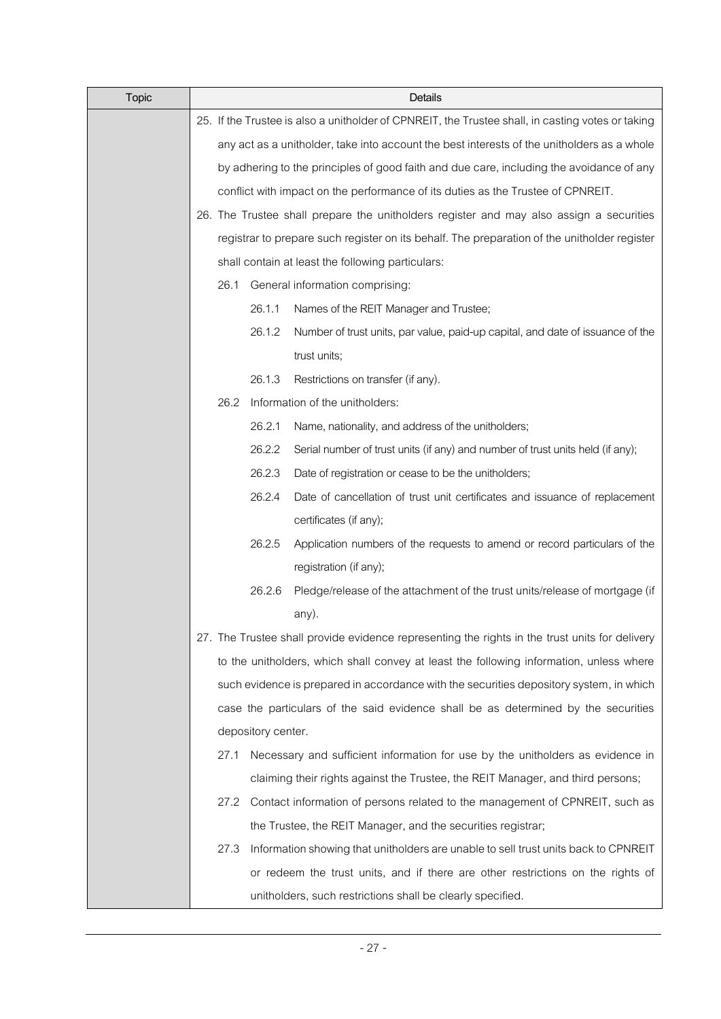| <b>Topic</b> | Details                                                                                           |                                                                                          |                                                                                                |  |  |  |  |
|--------------|---------------------------------------------------------------------------------------------------|------------------------------------------------------------------------------------------|------------------------------------------------------------------------------------------------|--|--|--|--|
|              | 25. If the Trustee is also a unitholder of CPNREIT, the Trustee shall, in casting votes or taking |                                                                                          |                                                                                                |  |  |  |  |
|              | any act as a unitholder, take into account the best interests of the unitholders as a whole       |                                                                                          |                                                                                                |  |  |  |  |
|              |                                                                                                   | by adhering to the principles of good faith and due care, including the avoidance of any |                                                                                                |  |  |  |  |
|              |                                                                                                   |                                                                                          | conflict with impact on the performance of its duties as the Trustee of CPNREIT.               |  |  |  |  |
|              |                                                                                                   | 26. The Trustee shall prepare the unitholders register and may also assign a securities  |                                                                                                |  |  |  |  |
|              |                                                                                                   |                                                                                          | registrar to prepare such register on its behalf. The preparation of the unitholder register   |  |  |  |  |
|              |                                                                                                   |                                                                                          | shall contain at least the following particulars:                                              |  |  |  |  |
|              | 26.1                                                                                              |                                                                                          | General information comprising:                                                                |  |  |  |  |
|              |                                                                                                   | 26.1.1                                                                                   | Names of the REIT Manager and Trustee;                                                         |  |  |  |  |
|              |                                                                                                   | 26.1.2                                                                                   | Number of trust units, par value, paid-up capital, and date of issuance of the                 |  |  |  |  |
|              |                                                                                                   |                                                                                          | trust units;                                                                                   |  |  |  |  |
|              |                                                                                                   | 26.1.3                                                                                   | Restrictions on transfer (if any).                                                             |  |  |  |  |
|              | 26.2                                                                                              |                                                                                          | Information of the unitholders:                                                                |  |  |  |  |
|              |                                                                                                   | 26.2.1                                                                                   | Name, nationality, and address of the unitholders;                                             |  |  |  |  |
|              |                                                                                                   | 26.2.2                                                                                   | Serial number of trust units (if any) and number of trust units held (if any);                 |  |  |  |  |
|              |                                                                                                   | 26.2.3                                                                                   | Date of registration or cease to be the unitholders;                                           |  |  |  |  |
|              |                                                                                                   | 26.2.4                                                                                   | Date of cancellation of trust unit certificates and issuance of replacement                    |  |  |  |  |
|              |                                                                                                   |                                                                                          | certificates (if any);                                                                         |  |  |  |  |
|              |                                                                                                   | 26.2.5                                                                                   | Application numbers of the requests to amend or record particulars of the                      |  |  |  |  |
|              |                                                                                                   |                                                                                          | registration (if any);                                                                         |  |  |  |  |
|              |                                                                                                   | 26.2.6                                                                                   | Pledge/release of the attachment of the trust units/release of mortgage (if                    |  |  |  |  |
|              |                                                                                                   |                                                                                          | any).                                                                                          |  |  |  |  |
|              |                                                                                                   |                                                                                          | 27. The Trustee shall provide evidence representing the rights in the trust units for delivery |  |  |  |  |
|              |                                                                                                   |                                                                                          | to the unitholders, which shall convey at least the following information, unless where        |  |  |  |  |
|              |                                                                                                   |                                                                                          | such evidence is prepared in accordance with the securities depository system, in which        |  |  |  |  |
|              |                                                                                                   |                                                                                          | case the particulars of the said evidence shall be as determined by the securities             |  |  |  |  |
|              |                                                                                                   | depository center.                                                                       |                                                                                                |  |  |  |  |
|              | 27.1                                                                                              |                                                                                          | Necessary and sufficient information for use by the unitholders as evidence in                 |  |  |  |  |
|              |                                                                                                   |                                                                                          | claiming their rights against the Trustee, the REIT Manager, and third persons;                |  |  |  |  |
|              | 27.2                                                                                              |                                                                                          | Contact information of persons related to the management of CPNREIT, such as                   |  |  |  |  |
|              |                                                                                                   |                                                                                          | the Trustee, the REIT Manager, and the securities registrar;                                   |  |  |  |  |
|              | 27.3                                                                                              |                                                                                          | Information showing that unitholders are unable to sell trust units back to CPNREIT            |  |  |  |  |
|              |                                                                                                   |                                                                                          | or redeem the trust units, and if there are other restrictions on the rights of                |  |  |  |  |
|              |                                                                                                   |                                                                                          | unitholders, such restrictions shall be clearly specified.                                     |  |  |  |  |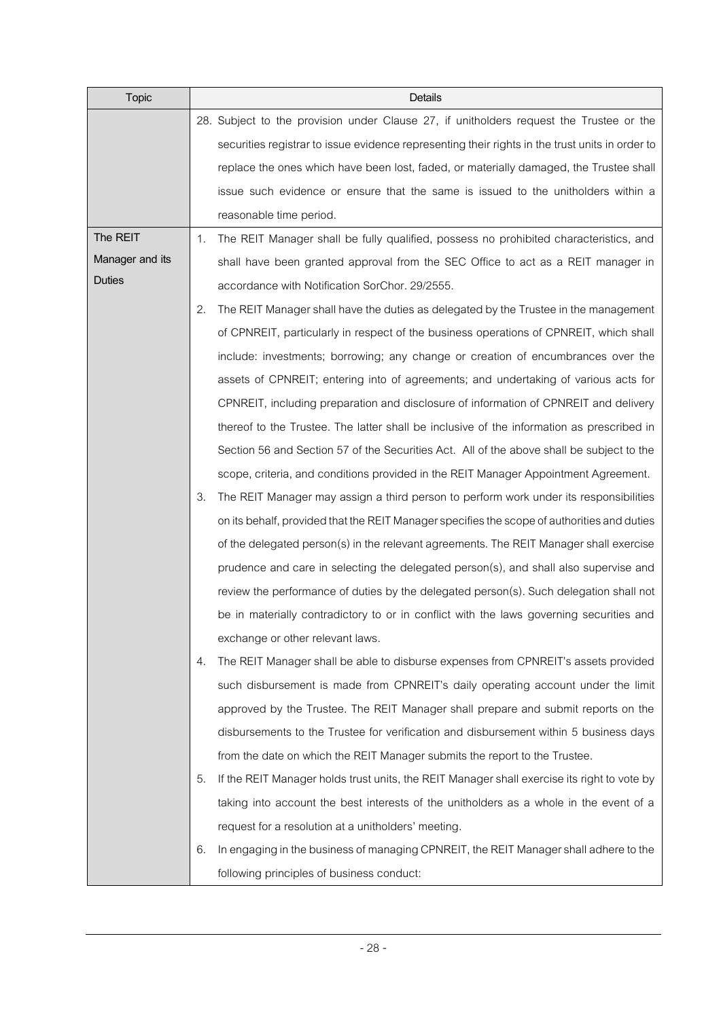| <b>Topic</b>    | Details                                                                                           |
|-----------------|---------------------------------------------------------------------------------------------------|
|                 | 28. Subject to the provision under Clause 27, if unitholders request the Trustee or the           |
|                 | securities registrar to issue evidence representing their rights in the trust units in order to   |
|                 | replace the ones which have been lost, faded, or materially damaged, the Trustee shall            |
|                 | issue such evidence or ensure that the same is issued to the unitholders within a                 |
|                 | reasonable time period.                                                                           |
| The REIT        | The REIT Manager shall be fully qualified, possess no prohibited characteristics, and<br>1.       |
| Manager and its | shall have been granted approval from the SEC Office to act as a REIT manager in                  |
| <b>Duties</b>   | accordance with Notification SorChor. 29/2555.                                                    |
|                 | The REIT Manager shall have the duties as delegated by the Trustee in the management<br>2.        |
|                 | of CPNREIT, particularly in respect of the business operations of CPNREIT, which shall            |
|                 | include: investments; borrowing; any change or creation of encumbrances over the                  |
|                 | assets of CPNREIT; entering into of agreements; and undertaking of various acts for               |
|                 | CPNREIT, including preparation and disclosure of information of CPNREIT and delivery              |
|                 | thereof to the Trustee. The latter shall be inclusive of the information as prescribed in         |
|                 | Section 56 and Section 57 of the Securities Act. All of the above shall be subject to the         |
|                 | scope, criteria, and conditions provided in the REIT Manager Appointment Agreement.               |
|                 | The REIT Manager may assign a third person to perform work under its responsibilities<br>3.       |
|                 | on its behalf, provided that the REIT Manager specifies the scope of authorities and duties       |
|                 | of the delegated person(s) in the relevant agreements. The REIT Manager shall exercise            |
|                 | prudence and care in selecting the delegated person(s), and shall also supervise and              |
|                 | review the performance of duties by the delegated person(s). Such delegation shall not            |
|                 | be in materially contradictory to or in conflict with the laws governing securities and           |
|                 | exchange or other relevant laws.                                                                  |
|                 | The REIT Manager shall be able to disburse expenses from CPNREIT's assets provided<br>4.          |
|                 | such disbursement is made from CPNREIT's daily operating account under the limit                  |
|                 | approved by the Trustee. The REIT Manager shall prepare and submit reports on the                 |
|                 | disbursements to the Trustee for verification and disbursement within 5 business days             |
|                 | from the date on which the REIT Manager submits the report to the Trustee.                        |
|                 | 5.<br>If the REIT Manager holds trust units, the REIT Manager shall exercise its right to vote by |
|                 | taking into account the best interests of the unitholders as a whole in the event of a            |
|                 | request for a resolution at a unitholders' meeting.                                               |
|                 | In engaging in the business of managing CPNREIT, the REIT Manager shall adhere to the<br>6.       |
|                 | following principles of business conduct:                                                         |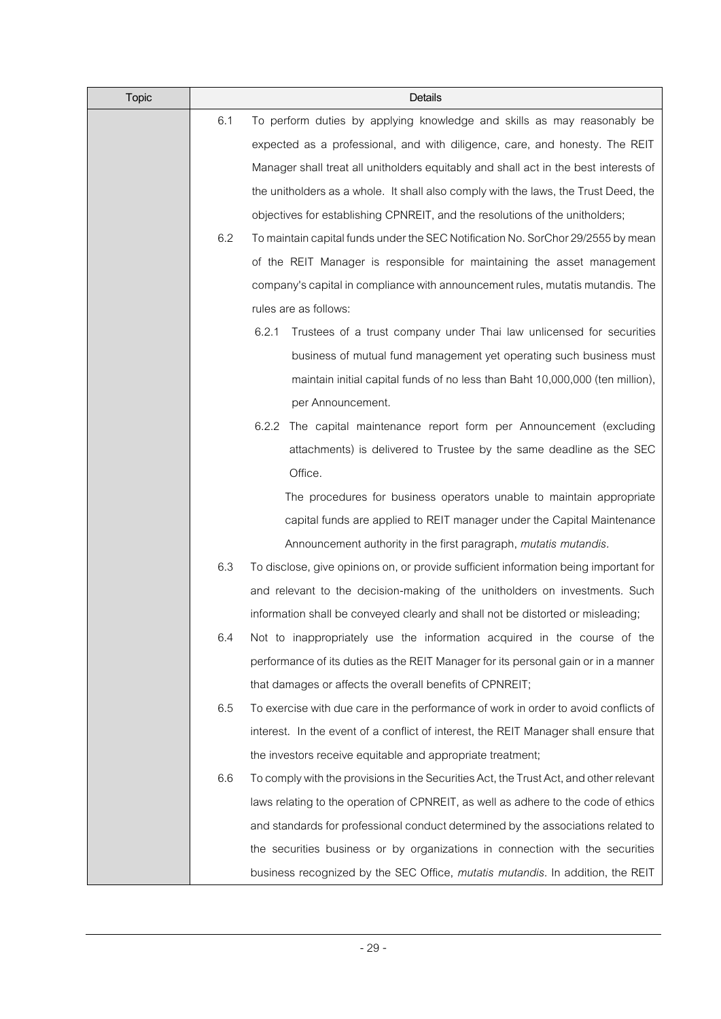| <b>Topic</b> |     | Details                                                                                |
|--------------|-----|----------------------------------------------------------------------------------------|
|              | 6.1 | To perform duties by applying knowledge and skills as may reasonably be                |
|              |     | expected as a professional, and with diligence, care, and honesty. The REIT            |
|              |     | Manager shall treat all unitholders equitably and shall act in the best interests of   |
|              |     | the unitholders as a whole. It shall also comply with the laws, the Trust Deed, the    |
|              |     | objectives for establishing CPNREIT, and the resolutions of the unitholders;           |
|              | 6.2 | To maintain capital funds under the SEC Notification No. SorChor 29/2555 by mean       |
|              |     | of the REIT Manager is responsible for maintaining the asset management                |
|              |     | company's capital in compliance with announcement rules, mutatis mutandis. The         |
|              |     | rules are as follows:                                                                  |
|              |     | 6.2.1<br>Trustees of a trust company under Thai law unlicensed for securities          |
|              |     | business of mutual fund management yet operating such business must                    |
|              |     | maintain initial capital funds of no less than Baht 10,000,000 (ten million),          |
|              |     | per Announcement.                                                                      |
|              |     | 6.2.2 The capital maintenance report form per Announcement (excluding                  |
|              |     | attachments) is delivered to Trustee by the same deadline as the SEC                   |
|              |     | Office.                                                                                |
|              |     | The procedures for business operators unable to maintain appropriate                   |
|              |     | capital funds are applied to REIT manager under the Capital Maintenance                |
|              |     | Announcement authority in the first paragraph, mutatis mutandis.                       |
|              | 6.3 | To disclose, give opinions on, or provide sufficient information being important for   |
|              |     | and relevant to the decision-making of the unitholders on investments. Such            |
|              |     | information shall be conveyed clearly and shall not be distorted or misleading;        |
|              | 6.4 | Not to inappropriately use the information acquired in the course of the               |
|              |     | performance of its duties as the REIT Manager for its personal gain or in a manner     |
|              |     | that damages or affects the overall benefits of CPNREIT;                               |
|              | 6.5 | To exercise with due care in the performance of work in order to avoid conflicts of    |
|              |     | interest. In the event of a conflict of interest, the REIT Manager shall ensure that   |
|              |     | the investors receive equitable and appropriate treatment;                             |
|              | 6.6 | To comply with the provisions in the Securities Act, the Trust Act, and other relevant |
|              |     | laws relating to the operation of CPNREIT, as well as adhere to the code of ethics     |
|              |     | and standards for professional conduct determined by the associations related to       |
|              |     | the securities business or by organizations in connection with the securities          |
|              |     | business recognized by the SEC Office, mutatis mutandis. In addition, the REIT         |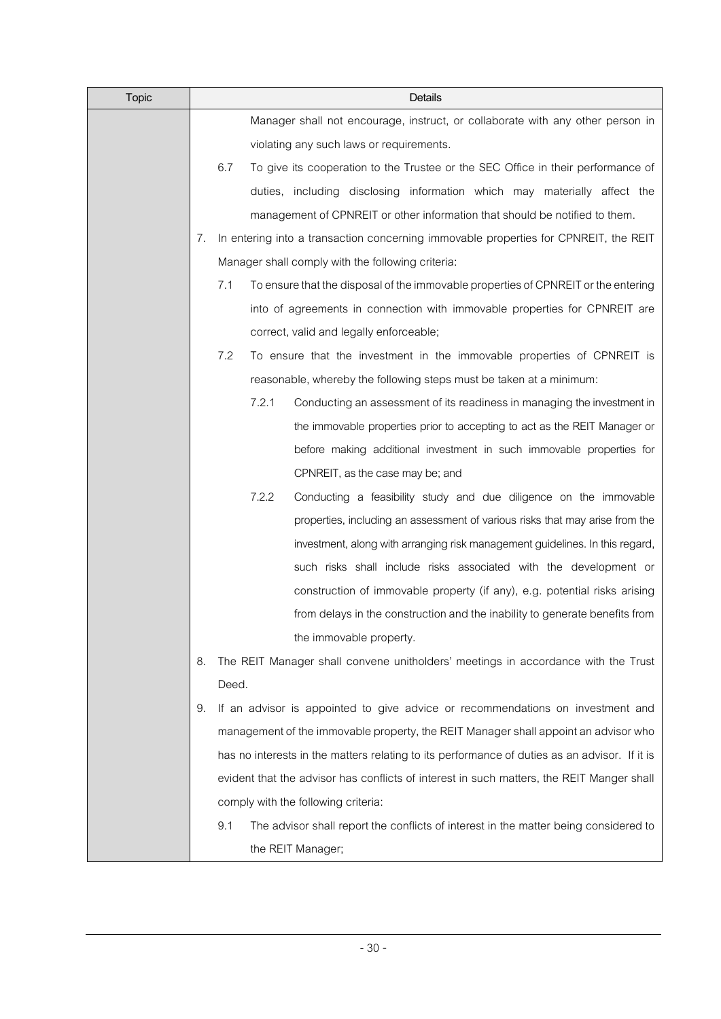| <b>Topic</b> |    | Details                                                                                       |
|--------------|----|-----------------------------------------------------------------------------------------------|
|              |    | Manager shall not encourage, instruct, or collaborate with any other person in                |
|              |    | violating any such laws or requirements.                                                      |
|              |    | 6.7<br>To give its cooperation to the Trustee or the SEC Office in their performance of       |
|              |    | duties, including disclosing information which may materially affect the                      |
|              |    | management of CPNREIT or other information that should be notified to them.                   |
|              | 7. | In entering into a transaction concerning immovable properties for CPNREIT, the REIT          |
|              |    | Manager shall comply with the following criteria:                                             |
|              |    | 7.1<br>To ensure that the disposal of the immovable properties of CPNREIT or the entering     |
|              |    | into of agreements in connection with immovable properties for CPNREIT are                    |
|              |    | correct, valid and legally enforceable;                                                       |
|              |    | 7.2<br>To ensure that the investment in the immovable properties of CPNREIT is                |
|              |    | reasonable, whereby the following steps must be taken at a minimum:                           |
|              |    | 7.2.1<br>Conducting an assessment of its readiness in managing the investment in              |
|              |    | the immovable properties prior to accepting to act as the REIT Manager or                     |
|              |    | before making additional investment in such immovable properties for                          |
|              |    | CPNREIT, as the case may be; and                                                              |
|              |    | 7.2.2<br>Conducting a feasibility study and due diligence on the immovable                    |
|              |    | properties, including an assessment of various risks that may arise from the                  |
|              |    | investment, along with arranging risk management guidelines. In this regard,                  |
|              |    | such risks shall include risks associated with the development or                             |
|              |    | construction of immovable property (if any), e.g. potential risks arising                     |
|              |    | from delays in the construction and the inability to generate benefits from                   |
|              |    | the immovable property.                                                                       |
|              | 8. | The REIT Manager shall convene unitholders' meetings in accordance with the Trust             |
|              |    | Deed.                                                                                         |
|              | 9. | If an advisor is appointed to give advice or recommendations on investment and                |
|              |    | management of the immovable property, the REIT Manager shall appoint an advisor who           |
|              |    | has no interests in the matters relating to its performance of duties as an advisor. If it is |
|              |    | evident that the advisor has conflicts of interest in such matters, the REIT Manger shall     |
|              |    | comply with the following criteria:                                                           |
|              |    | The advisor shall report the conflicts of interest in the matter being considered to<br>9.1   |
|              |    | the REIT Manager;                                                                             |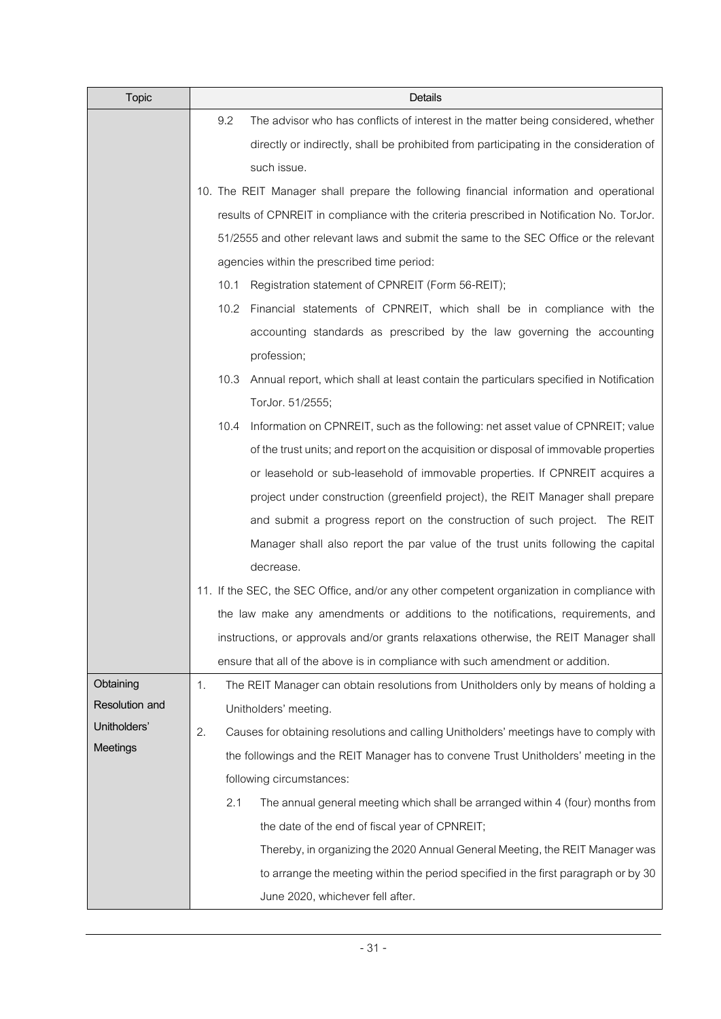| <b>Topic</b>          | Details                                                                                       |
|-----------------------|-----------------------------------------------------------------------------------------------|
|                       | 9.2<br>The advisor who has conflicts of interest in the matter being considered, whether      |
|                       | directly or indirectly, shall be prohibited from participating in the consideration of        |
|                       | such issue.                                                                                   |
|                       | 10. The REIT Manager shall prepare the following financial information and operational        |
|                       | results of CPNREIT in compliance with the criteria prescribed in Notification No. TorJor.     |
|                       | 51/2555 and other relevant laws and submit the same to the SEC Office or the relevant         |
|                       | agencies within the prescribed time period:                                                   |
|                       | Registration statement of CPNREIT (Form 56-REIT);<br>10.1                                     |
|                       | 10.2 Financial statements of CPNREIT, which shall be in compliance with the                   |
|                       | accounting standards as prescribed by the law governing the accounting                        |
|                       | profession;                                                                                   |
|                       | Annual report, which shall at least contain the particulars specified in Notification<br>10.3 |
|                       | TorJor. 51/2555;                                                                              |
|                       | 10.4<br>Information on CPNREIT, such as the following: net asset value of CPNREIT; value      |
|                       | of the trust units; and report on the acquisition or disposal of immovable properties         |
|                       | or leasehold or sub-leasehold of immovable properties. If CPNREIT acquires a                  |
|                       | project under construction (greenfield project), the REIT Manager shall prepare               |
|                       | and submit a progress report on the construction of such project. The REIT                    |
|                       | Manager shall also report the par value of the trust units following the capital              |
|                       | decrease.                                                                                     |
|                       | 11. If the SEC, the SEC Office, and/or any other competent organization in compliance with    |
|                       | the law make any amendments or additions to the notifications, requirements, and              |
|                       | instructions, or approvals and/or grants relaxations otherwise, the REIT Manager shall        |
|                       | ensure that all of the above is in compliance with such amendment or addition.                |
| Obtaining             | The REIT Manager can obtain resolutions from Unitholders only by means of holding a<br>1.     |
| <b>Resolution and</b> | Unitholders' meeting.                                                                         |
| Unitholders'          | 2.<br>Causes for obtaining resolutions and calling Unitholders' meetings have to comply with  |
| Meetings              | the followings and the REIT Manager has to convene Trust Unitholders' meeting in the          |
|                       | following circumstances:                                                                      |
|                       | 2.1<br>The annual general meeting which shall be arranged within 4 (four) months from         |
|                       | the date of the end of fiscal year of CPNREIT;                                                |
|                       | Thereby, in organizing the 2020 Annual General Meeting, the REIT Manager was                  |
|                       | to arrange the meeting within the period specified in the first paragraph or by 30            |
|                       | June 2020, whichever fell after.                                                              |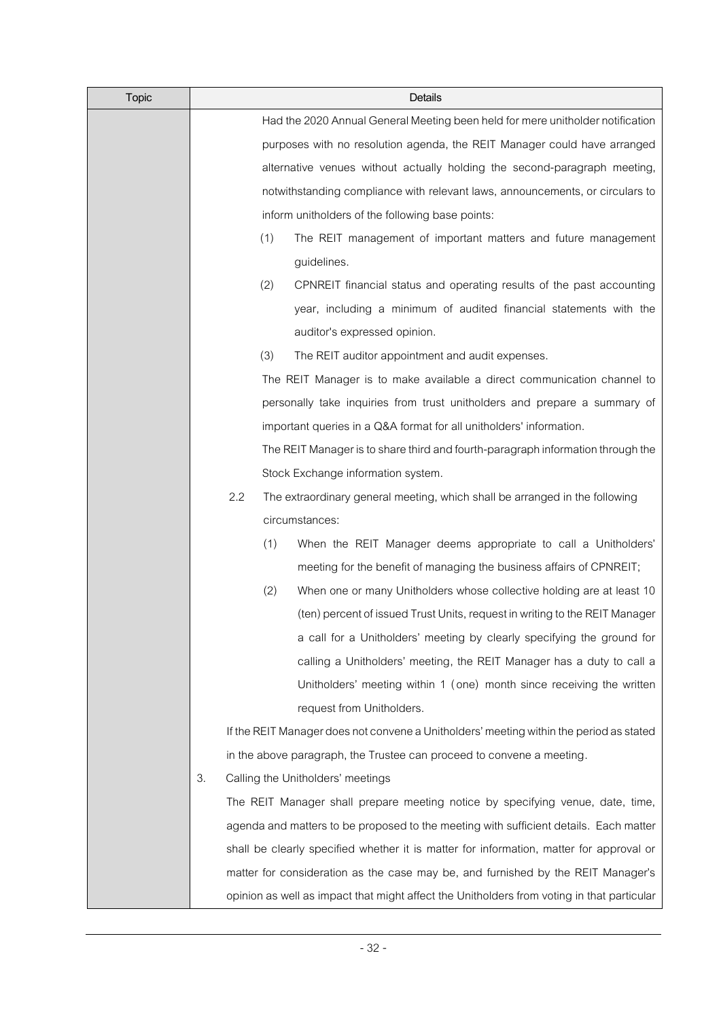| <b>Topic</b> |    |     |     | Details                                                                                    |
|--------------|----|-----|-----|--------------------------------------------------------------------------------------------|
|              |    |     |     | Had the 2020 Annual General Meeting been held for mere unitholder notification             |
|              |    |     |     | purposes with no resolution agenda, the REIT Manager could have arranged                   |
|              |    |     |     | alternative venues without actually holding the second-paragraph meeting,                  |
|              |    |     |     | notwithstanding compliance with relevant laws, announcements, or circulars to              |
|              |    |     |     | inform unitholders of the following base points:                                           |
|              |    |     | (1) | The REIT management of important matters and future management                             |
|              |    |     |     | guidelines.                                                                                |
|              |    |     | (2) | CPNREIT financial status and operating results of the past accounting                      |
|              |    |     |     | year, including a minimum of audited financial statements with the                         |
|              |    |     |     | auditor's expressed opinion.                                                               |
|              |    |     | (3) | The REIT auditor appointment and audit expenses.                                           |
|              |    |     |     | The REIT Manager is to make available a direct communication channel to                    |
|              |    |     |     | personally take inquiries from trust unitholders and prepare a summary of                  |
|              |    |     |     | important queries in a Q&A format for all unitholders' information.                        |
|              |    |     |     | The REIT Manager is to share third and fourth-paragraph information through the            |
|              |    |     |     | Stock Exchange information system.                                                         |
|              |    | 2.2 |     | The extraordinary general meeting, which shall be arranged in the following                |
|              |    |     |     | circumstances:                                                                             |
|              |    |     | (1) | When the REIT Manager deems appropriate to call a Unitholders'                             |
|              |    |     |     | meeting for the benefit of managing the business affairs of CPNREIT;                       |
|              |    |     | (2) | When one or many Unitholders whose collective holding are at least 10                      |
|              |    |     |     | (ten) percent of issued Trust Units, request in writing to the REIT Manager                |
|              |    |     |     | a call for a Unitholders' meeting by clearly specifying the ground for                     |
|              |    |     |     | calling a Unitholders' meeting, the REIT Manager has a duty to call a                      |
|              |    |     |     | Unitholders' meeting within 1 (one) month since receiving the written                      |
|              |    |     |     | request from Unitholders.                                                                  |
|              |    |     |     | If the REIT Manager does not convene a Unitholders' meeting within the period as stated    |
|              |    |     |     | in the above paragraph, the Trustee can proceed to convene a meeting.                      |
|              | 3. |     |     | Calling the Unitholders' meetings                                                          |
|              |    |     |     | The REIT Manager shall prepare meeting notice by specifying venue, date, time,             |
|              |    |     |     | agenda and matters to be proposed to the meeting with sufficient details. Each matter      |
|              |    |     |     | shall be clearly specified whether it is matter for information, matter for approval or    |
|              |    |     |     | matter for consideration as the case may be, and furnished by the REIT Manager's           |
|              |    |     |     | opinion as well as impact that might affect the Unitholders from voting in that particular |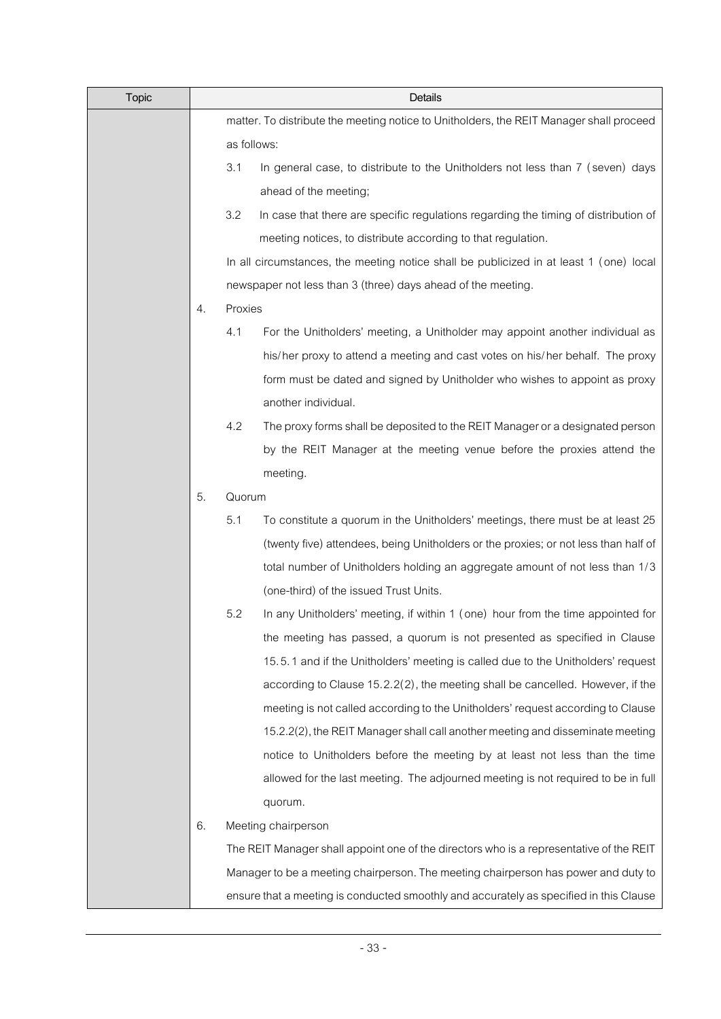| <b>Topic</b> | Details                                                                                 |             |                                                                                         |  |  |
|--------------|-----------------------------------------------------------------------------------------|-------------|-----------------------------------------------------------------------------------------|--|--|
|              | matter. To distribute the meeting notice to Unitholders, the REIT Manager shall proceed |             |                                                                                         |  |  |
|              |                                                                                         | as follows: |                                                                                         |  |  |
|              |                                                                                         | 3.1         | In general case, to distribute to the Unitholders not less than 7 (seven) days          |  |  |
|              |                                                                                         |             | ahead of the meeting;                                                                   |  |  |
|              |                                                                                         | 3.2         | In case that there are specific regulations regarding the timing of distribution of     |  |  |
|              |                                                                                         |             | meeting notices, to distribute according to that regulation.                            |  |  |
|              |                                                                                         |             | In all circumstances, the meeting notice shall be publicized in at least 1 (one) local  |  |  |
|              |                                                                                         |             | newspaper not less than 3 (three) days ahead of the meeting.                            |  |  |
|              | 4.                                                                                      | Proxies     |                                                                                         |  |  |
|              |                                                                                         | 4.1         | For the Unitholders' meeting, a Unitholder may appoint another individual as            |  |  |
|              |                                                                                         |             | his/her proxy to attend a meeting and cast votes on his/her behalf. The proxy           |  |  |
|              |                                                                                         |             | form must be dated and signed by Unitholder who wishes to appoint as proxy              |  |  |
|              |                                                                                         |             | another individual.                                                                     |  |  |
|              |                                                                                         | 4.2         | The proxy forms shall be deposited to the REIT Manager or a designated person           |  |  |
|              |                                                                                         |             | by the REIT Manager at the meeting venue before the proxies attend the                  |  |  |
|              |                                                                                         |             | meeting.                                                                                |  |  |
|              | 5.                                                                                      | Quorum      |                                                                                         |  |  |
|              |                                                                                         | 5.1         | To constitute a quorum in the Unitholders' meetings, there must be at least 25          |  |  |
|              |                                                                                         |             | (twenty five) attendees, being Unitholders or the proxies; or not less than half of     |  |  |
|              |                                                                                         |             | total number of Unitholders holding an aggregate amount of not less than 1/3            |  |  |
|              |                                                                                         |             | (one-third) of the issued Trust Units.                                                  |  |  |
|              |                                                                                         | 5.2         | In any Unitholders' meeting, if within 1 (one) hour from the time appointed for         |  |  |
|              |                                                                                         |             | the meeting has passed, a quorum is not presented as specified in Clause                |  |  |
|              |                                                                                         |             | 15.5.1 and if the Unitholders' meeting is called due to the Unitholders' request        |  |  |
|              |                                                                                         |             | according to Clause 15.2.2(2), the meeting shall be cancelled. However, if the          |  |  |
|              |                                                                                         |             | meeting is not called according to the Unitholders' request according to Clause         |  |  |
|              |                                                                                         |             | 15.2.2(2), the REIT Manager shall call another meeting and disseminate meeting          |  |  |
|              |                                                                                         |             | notice to Unitholders before the meeting by at least not less than the time             |  |  |
|              |                                                                                         |             | allowed for the last meeting. The adjourned meeting is not required to be in full       |  |  |
|              |                                                                                         |             | quorum.                                                                                 |  |  |
|              | 6.                                                                                      |             | Meeting chairperson                                                                     |  |  |
|              |                                                                                         |             | The REIT Manager shall appoint one of the directors who is a representative of the REIT |  |  |
|              |                                                                                         |             | Manager to be a meeting chairperson. The meeting chairperson has power and duty to      |  |  |
|              |                                                                                         |             | ensure that a meeting is conducted smoothly and accurately as specified in this Clause  |  |  |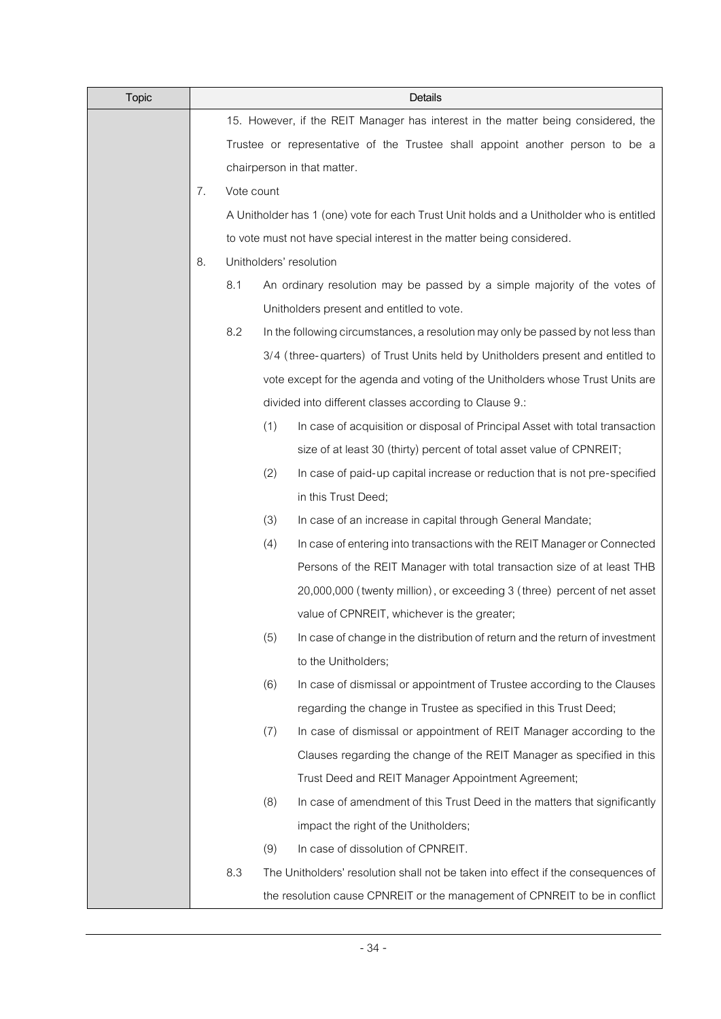| <b>Topic</b> | Details |                                                                                   |     |                                                                                          |  |
|--------------|---------|-----------------------------------------------------------------------------------|-----|------------------------------------------------------------------------------------------|--|
|              |         | 15. However, if the REIT Manager has interest in the matter being considered, the |     |                                                                                          |  |
|              |         | Trustee or representative of the Trustee shall appoint another person to be a     |     |                                                                                          |  |
|              |         | chairperson in that matter.                                                       |     |                                                                                          |  |
|              | 7.      | Vote count                                                                        |     |                                                                                          |  |
|              |         |                                                                                   |     | A Unitholder has 1 (one) vote for each Trust Unit holds and a Unitholder who is entitled |  |
|              |         |                                                                                   |     | to vote must not have special interest in the matter being considered.                   |  |
|              | 8.      |                                                                                   |     | Unitholders' resolution                                                                  |  |
|              |         | 8.1                                                                               |     | An ordinary resolution may be passed by a simple majority of the votes of                |  |
|              |         |                                                                                   |     | Unitholders present and entitled to vote.                                                |  |
|              |         | 8.2                                                                               |     | In the following circumstances, a resolution may only be passed by not less than         |  |
|              |         |                                                                                   |     | 3/4 (three-quarters) of Trust Units held by Unitholders present and entitled to          |  |
|              |         |                                                                                   |     | vote except for the agenda and voting of the Unitholders whose Trust Units are           |  |
|              |         |                                                                                   |     | divided into different classes according to Clause 9.:                                   |  |
|              |         |                                                                                   | (1) | In case of acquisition or disposal of Principal Asset with total transaction             |  |
|              |         |                                                                                   |     | size of at least 30 (thirty) percent of total asset value of CPNREIT;                    |  |
|              |         |                                                                                   | (2) | In case of paid-up capital increase or reduction that is not pre-specified               |  |
|              |         |                                                                                   |     | in this Trust Deed;                                                                      |  |
|              |         |                                                                                   | (3) | In case of an increase in capital through General Mandate;                               |  |
|              |         |                                                                                   | (4) | In case of entering into transactions with the REIT Manager or Connected                 |  |
|              |         |                                                                                   |     | Persons of the REIT Manager with total transaction size of at least THB                  |  |
|              |         |                                                                                   |     | 20,000,000 (twenty million), or exceeding 3 (three) percent of net asset                 |  |
|              |         |                                                                                   |     | value of CPNREIT, whichever is the greater;                                              |  |
|              |         |                                                                                   | (5) | In case of change in the distribution of return and the return of investment             |  |
|              |         |                                                                                   |     | to the Unitholders;                                                                      |  |
|              |         |                                                                                   | (6) | In case of dismissal or appointment of Trustee according to the Clauses                  |  |
|              |         |                                                                                   |     | regarding the change in Trustee as specified in this Trust Deed;                         |  |
|              |         |                                                                                   | (7) | In case of dismissal or appointment of REIT Manager according to the                     |  |
|              |         |                                                                                   |     | Clauses regarding the change of the REIT Manager as specified in this                    |  |
|              |         |                                                                                   |     | Trust Deed and REIT Manager Appointment Agreement;                                       |  |
|              |         |                                                                                   | (8) | In case of amendment of this Trust Deed in the matters that significantly                |  |
|              |         |                                                                                   |     | impact the right of the Unitholders;                                                     |  |
|              |         |                                                                                   | (9) | In case of dissolution of CPNREIT.                                                       |  |
|              |         | 8.3                                                                               |     | The Unitholders' resolution shall not be taken into effect if the consequences of        |  |
|              |         |                                                                                   |     | the resolution cause CPNREIT or the management of CPNREIT to be in conflict              |  |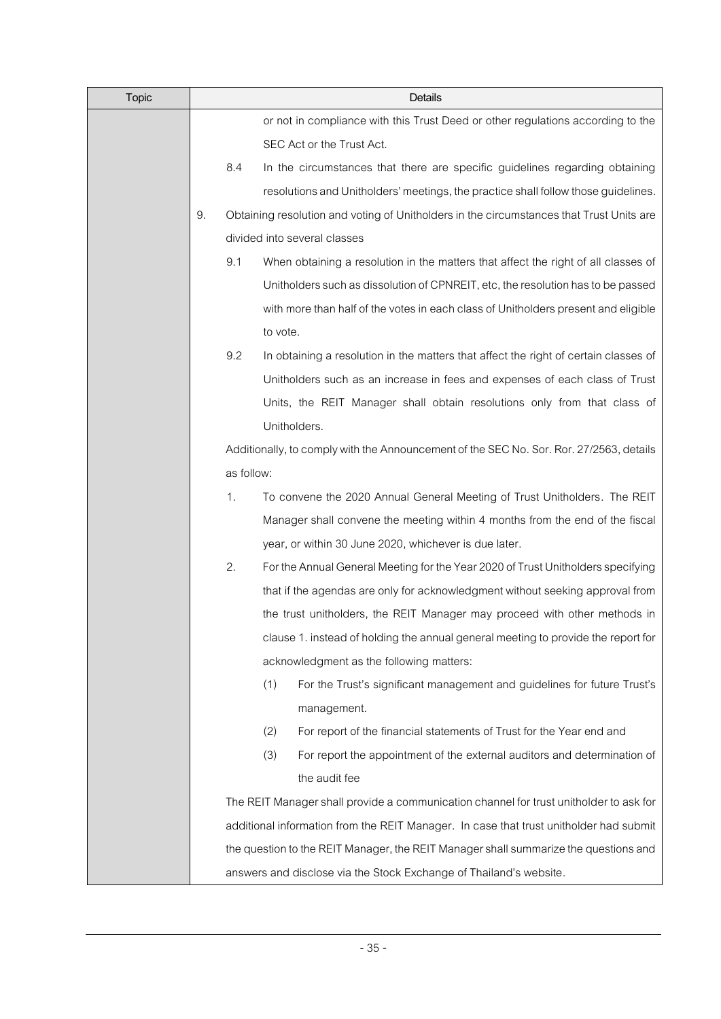| <b>Topic</b> | Details |            |                                                                                          |  |  |
|--------------|---------|------------|------------------------------------------------------------------------------------------|--|--|
|              |         |            | or not in compliance with this Trust Deed or other regulations according to the          |  |  |
|              |         |            | SEC Act or the Trust Act.                                                                |  |  |
|              |         | 8.4        | In the circumstances that there are specific guidelines regarding obtaining              |  |  |
|              |         |            | resolutions and Unitholders' meetings, the practice shall follow those guidelines.       |  |  |
|              | 9.      |            | Obtaining resolution and voting of Unitholders in the circumstances that Trust Units are |  |  |
|              |         |            | divided into several classes                                                             |  |  |
|              |         | 9.1        | When obtaining a resolution in the matters that affect the right of all classes of       |  |  |
|              |         |            | Unitholders such as dissolution of CPNREIT, etc, the resolution has to be passed         |  |  |
|              |         |            | with more than half of the votes in each class of Unitholders present and eligible       |  |  |
|              |         |            | to vote.                                                                                 |  |  |
|              |         | 9.2        | In obtaining a resolution in the matters that affect the right of certain classes of     |  |  |
|              |         |            | Unitholders such as an increase in fees and expenses of each class of Trust              |  |  |
|              |         |            | Units, the REIT Manager shall obtain resolutions only from that class of                 |  |  |
|              |         |            | Unitholders.                                                                             |  |  |
|              |         |            | Additionally, to comply with the Announcement of the SEC No. Sor. Ror. 27/2563, details  |  |  |
|              |         | as follow: |                                                                                          |  |  |
|              |         | 1.         | To convene the 2020 Annual General Meeting of Trust Unitholders. The REIT                |  |  |
|              |         |            | Manager shall convene the meeting within 4 months from the end of the fiscal             |  |  |
|              |         |            | year, or within 30 June 2020, whichever is due later.                                    |  |  |
|              |         | 2.         | For the Annual General Meeting for the Year 2020 of Trust Unitholders specifying         |  |  |
|              |         |            | that if the agendas are only for acknowledgment without seeking approval from            |  |  |
|              |         |            | the trust unitholders, the REIT Manager may proceed with other methods in                |  |  |
|              |         |            | clause 1. instead of holding the annual general meeting to provide the report for        |  |  |
|              |         |            | acknowledgment as the following matters:                                                 |  |  |
|              |         |            | (1)<br>For the Trust's significant management and guidelines for future Trust's          |  |  |
|              |         |            | management.                                                                              |  |  |
|              |         |            | (2)<br>For report of the financial statements of Trust for the Year end and              |  |  |
|              |         |            | (3)<br>For report the appointment of the external auditors and determination of          |  |  |
|              |         |            | the audit fee                                                                            |  |  |
|              |         |            | The REIT Manager shall provide a communication channel for trust unitholder to ask for   |  |  |
|              |         |            | additional information from the REIT Manager. In case that trust unitholder had submit   |  |  |
|              |         |            | the question to the REIT Manager, the REIT Manager shall summarize the questions and     |  |  |
|              |         |            | answers and disclose via the Stock Exchange of Thailand's website.                       |  |  |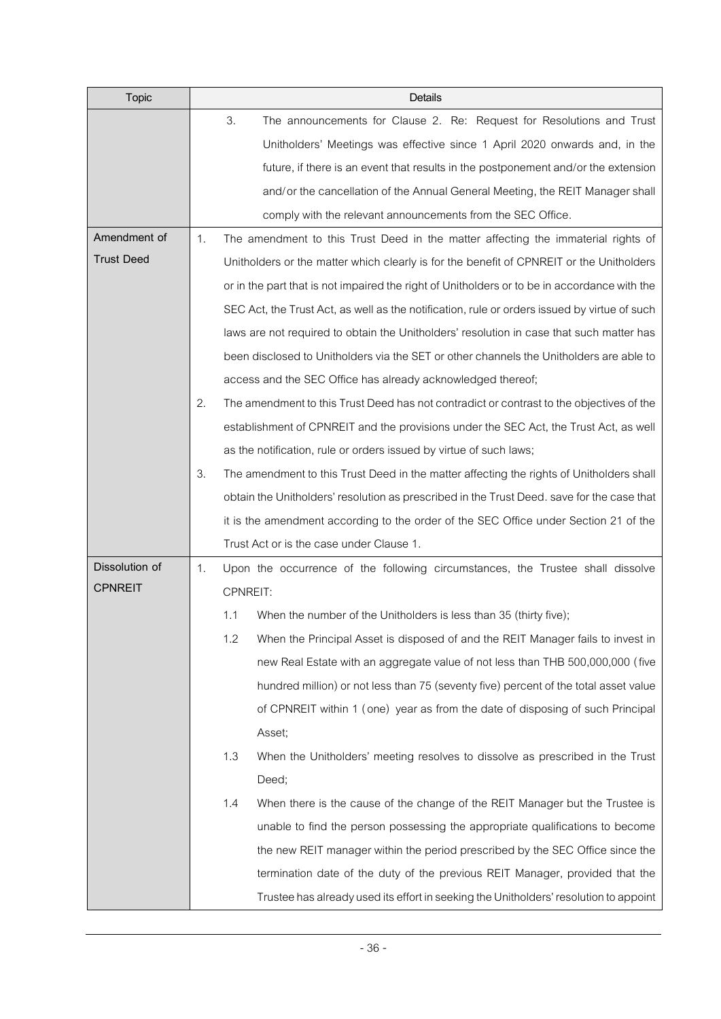| <b>Topic</b>      |    |                                                                                            | Details                                                                                      |  |  |  |  |
|-------------------|----|--------------------------------------------------------------------------------------------|----------------------------------------------------------------------------------------------|--|--|--|--|
|                   |    | 3.                                                                                         | The announcements for Clause 2. Re: Request for Resolutions and Trust                        |  |  |  |  |
|                   |    |                                                                                            | Unitholders' Meetings was effective since 1 April 2020 onwards and, in the                   |  |  |  |  |
|                   |    |                                                                                            | future, if there is an event that results in the postponement and/or the extension           |  |  |  |  |
|                   |    |                                                                                            | and/or the cancellation of the Annual General Meeting, the REIT Manager shall                |  |  |  |  |
|                   |    |                                                                                            | comply with the relevant announcements from the SEC Office.                                  |  |  |  |  |
| Amendment of      | 1. |                                                                                            | The amendment to this Trust Deed in the matter affecting the immaterial rights of            |  |  |  |  |
| <b>Trust Deed</b> |    |                                                                                            | Unitholders or the matter which clearly is for the benefit of CPNREIT or the Unitholders     |  |  |  |  |
|                   |    |                                                                                            | or in the part that is not impaired the right of Unitholders or to be in accordance with the |  |  |  |  |
|                   |    |                                                                                            | SEC Act, the Trust Act, as well as the notification, rule or orders issued by virtue of such |  |  |  |  |
|                   |    |                                                                                            | laws are not required to obtain the Unitholders' resolution in case that such matter has     |  |  |  |  |
|                   |    |                                                                                            | been disclosed to Unitholders via the SET or other channels the Unitholders are able to      |  |  |  |  |
|                   |    |                                                                                            | access and the SEC Office has already acknowledged thereof;                                  |  |  |  |  |
|                   | 2. |                                                                                            | The amendment to this Trust Deed has not contradict or contrast to the objectives of the     |  |  |  |  |
|                   |    |                                                                                            | establishment of CPNREIT and the provisions under the SEC Act, the Trust Act, as well        |  |  |  |  |
|                   |    |                                                                                            | as the notification, rule or orders issued by virtue of such laws;                           |  |  |  |  |
|                   | 3. |                                                                                            | The amendment to this Trust Deed in the matter affecting the rights of Unitholders shall     |  |  |  |  |
|                   |    | obtain the Unitholders' resolution as prescribed in the Trust Deed. save for the case that |                                                                                              |  |  |  |  |
|                   |    |                                                                                            | it is the amendment according to the order of the SEC Office under Section 21 of the         |  |  |  |  |
|                   |    |                                                                                            | Trust Act or is the case under Clause 1.                                                     |  |  |  |  |
| Dissolution of    | 1. |                                                                                            | Upon the occurrence of the following circumstances, the Trustee shall dissolve               |  |  |  |  |
| <b>CPNREIT</b>    |    | CPNREIT:                                                                                   |                                                                                              |  |  |  |  |
|                   |    | 1.1                                                                                        | When the number of the Unitholders is less than 35 (thirty five);                            |  |  |  |  |
|                   |    | 1.2                                                                                        | When the Principal Asset is disposed of and the REIT Manager fails to invest in              |  |  |  |  |
|                   |    |                                                                                            | new Real Estate with an aggregate value of not less than THB 500,000,000 (five               |  |  |  |  |
|                   |    |                                                                                            | hundred million) or not less than 75 (seventy five) percent of the total asset value         |  |  |  |  |
|                   |    |                                                                                            | of CPNREIT within 1 (one) year as from the date of disposing of such Principal               |  |  |  |  |
|                   |    |                                                                                            | Asset;                                                                                       |  |  |  |  |
|                   |    | 1.3                                                                                        | When the Unitholders' meeting resolves to dissolve as prescribed in the Trust                |  |  |  |  |
|                   |    |                                                                                            | Deed;                                                                                        |  |  |  |  |
|                   |    | 1.4                                                                                        | When there is the cause of the change of the REIT Manager but the Trustee is                 |  |  |  |  |
|                   |    |                                                                                            | unable to find the person possessing the appropriate qualifications to become                |  |  |  |  |
|                   |    |                                                                                            | the new REIT manager within the period prescribed by the SEC Office since the                |  |  |  |  |
|                   |    |                                                                                            | termination date of the duty of the previous REIT Manager, provided that the                 |  |  |  |  |
|                   |    |                                                                                            | Trustee has already used its effort in seeking the Unitholders' resolution to appoint        |  |  |  |  |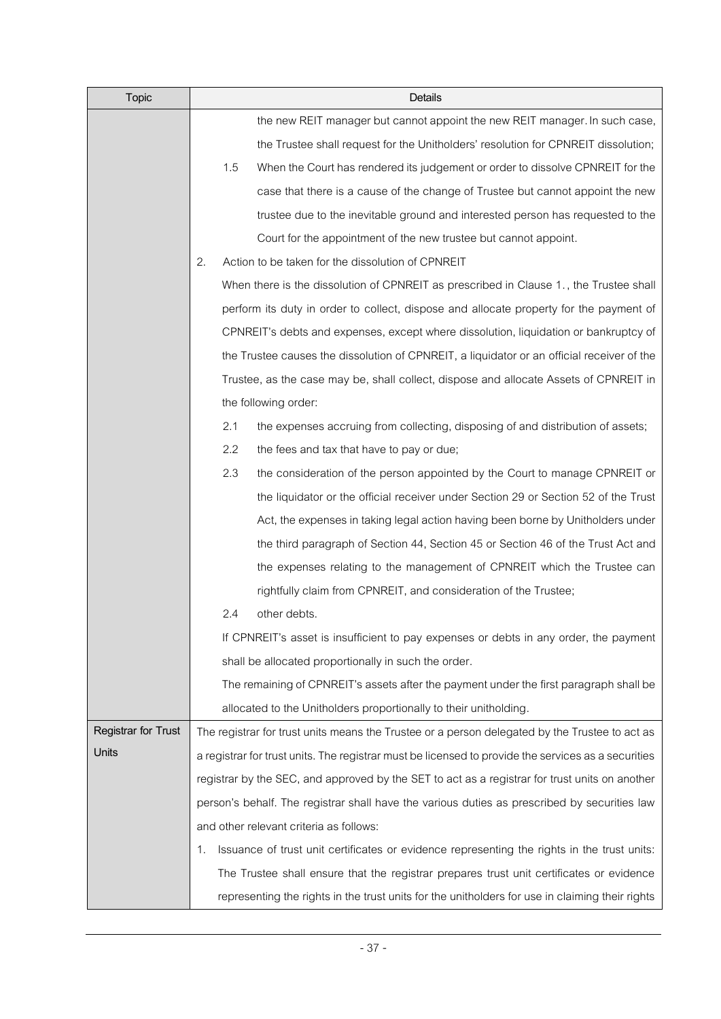| <b>Topic</b>        | Details                                                                                             |
|---------------------|-----------------------------------------------------------------------------------------------------|
|                     | the new REIT manager but cannot appoint the new REIT manager. In such case,                         |
|                     | the Trustee shall request for the Unitholders' resolution for CPNREIT dissolution;                  |
|                     | 1.5<br>When the Court has rendered its judgement or order to dissolve CPNREIT for the               |
|                     | case that there is a cause of the change of Trustee but cannot appoint the new                      |
|                     | trustee due to the inevitable ground and interested person has requested to the                     |
|                     | Court for the appointment of the new trustee but cannot appoint.                                    |
|                     | Action to be taken for the dissolution of CPNREIT<br>2.                                             |
|                     | When there is the dissolution of CPNREIT as prescribed in Clause 1., the Trustee shall              |
|                     | perform its duty in order to collect, dispose and allocate property for the payment of              |
|                     | CPNREIT's debts and expenses, except where dissolution, liquidation or bankruptcy of                |
|                     | the Trustee causes the dissolution of CPNREIT, a liquidator or an official receiver of the          |
|                     | Trustee, as the case may be, shall collect, dispose and allocate Assets of CPNREIT in               |
|                     | the following order:                                                                                |
|                     | the expenses accruing from collecting, disposing of and distribution of assets;<br>2.1              |
|                     | 2.2<br>the fees and tax that have to pay or due;                                                    |
|                     | 2.3<br>the consideration of the person appointed by the Court to manage CPNREIT or                  |
|                     | the liquidator or the official receiver under Section 29 or Section 52 of the Trust                 |
|                     | Act, the expenses in taking legal action having been borne by Unitholders under                     |
|                     | the third paragraph of Section 44, Section 45 or Section 46 of the Trust Act and                    |
|                     | the expenses relating to the management of CPNREIT which the Trustee can                            |
|                     | rightfully claim from CPNREIT, and consideration of the Trustee;                                    |
|                     | other debts.<br>2.4                                                                                 |
|                     | If CPNREIT's asset is insufficient to pay expenses or debts in any order, the payment               |
|                     | shall be allocated proportionally in such the order.                                                |
|                     | The remaining of CPNREIT's assets after the payment under the first paragraph shall be              |
|                     | allocated to the Unitholders proportionally to their unitholding.                                   |
| Registrar for Trust | The registrar for trust units means the Trustee or a person delegated by the Trustee to act as      |
| Units               | a registrar for trust units. The registrar must be licensed to provide the services as a securities |
|                     | registrar by the SEC, and approved by the SET to act as a registrar for trust units on another      |
|                     | person's behalf. The registrar shall have the various duties as prescribed by securities law        |
|                     | and other relevant criteria as follows:                                                             |
|                     | Issuance of trust unit certificates or evidence representing the rights in the trust units:<br>1.   |
|                     | The Trustee shall ensure that the registrar prepares trust unit certificates or evidence            |
|                     | representing the rights in the trust units for the unitholders for use in claiming their rights     |